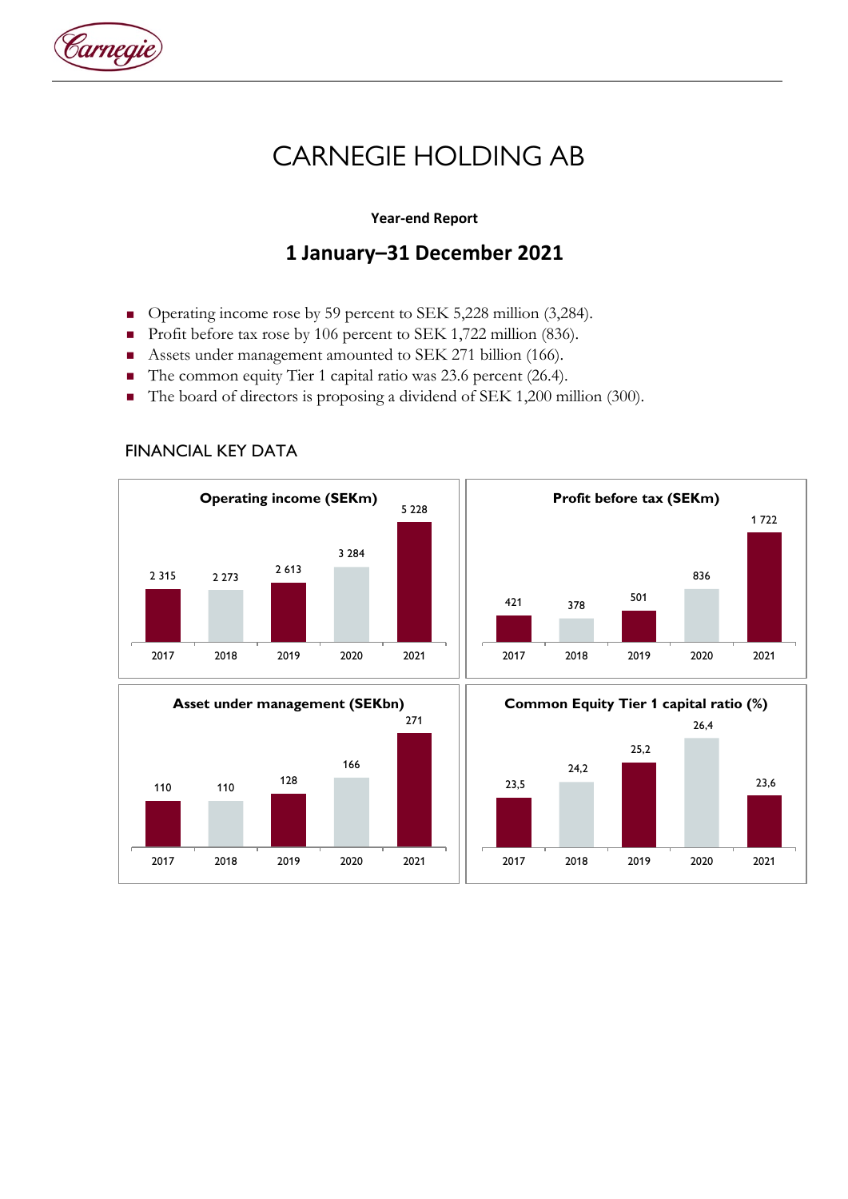

# **CARNEGIE HOLDING AB**

### **Year-end Report**

## **1 January–31 December 2021**

- Operating income rose by 59 percent to SEK 5,228 million (3,284).
- Profit before tax rose by 106 percent to SEK 1,722 million (836).<br>■ Assets under management amounted to SEK 271 billion (166).
- Assets under management amounted to SEK 271 billion (166).
- The common equity Tier 1 capital ratio was 23.6 percent (26.4).
- The board of directors is proposing a dividend of SEK 1,200 million (300).



#### FINANCIAL KEY DATA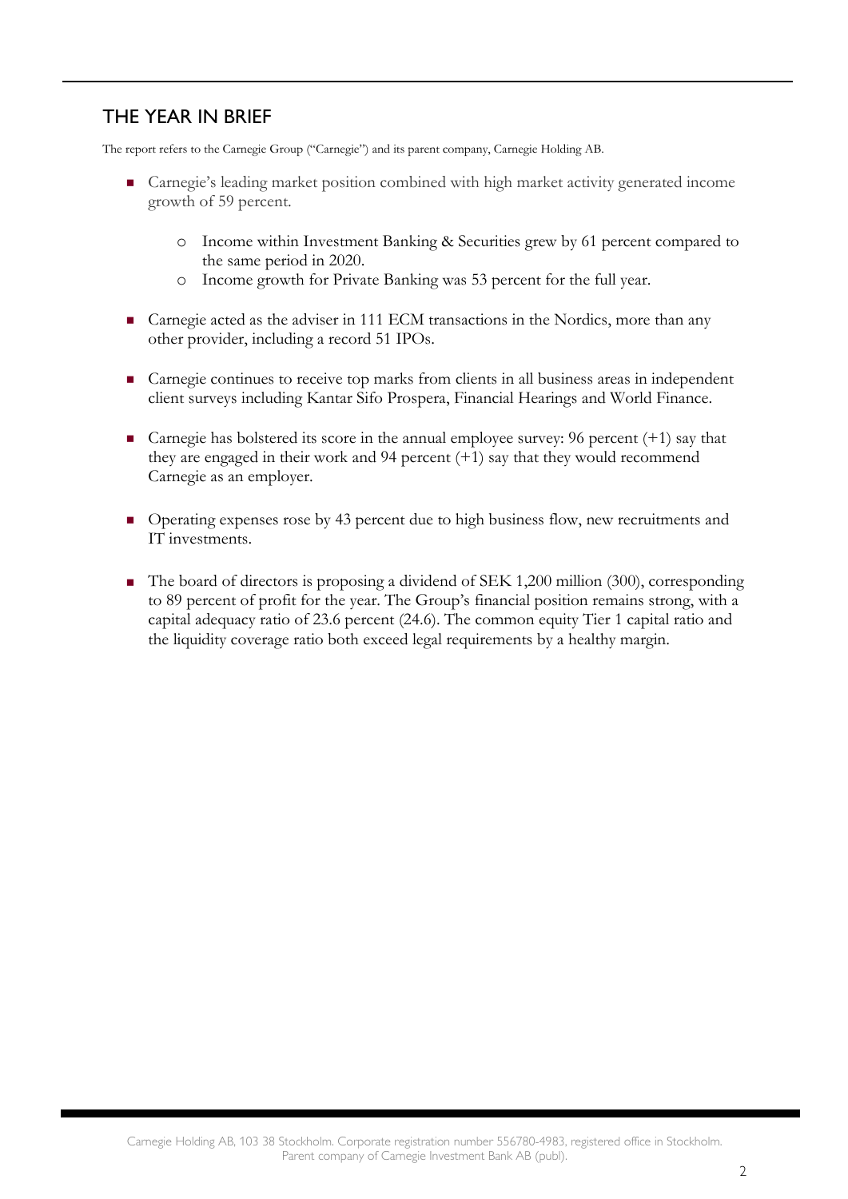## THE YEAR IN BRIEF

The report refers to the Carnegie Group ("Carnegie") and its parent company, Carnegie Holding AB.

- Carnegie's leading market position combined with high market activity generated income growth of 59 percent.
	- o Income within Investment Banking & Securities grew by 61 percent compared to the same period in 2020.
	- o Income growth for Private Banking was 53 percent for the full year.
- Carnegie acted as the adviser in 111 ECM transactions in the Nordics, more than any other provider, including a record 51 IPOs.
- **Carnegie continues to receive top marks from clients in all business areas in independent** client surveys including Kantar Sifo Prospera, Financial Hearings and World Finance.
- Carnegie has bolstered its score in the annual employee survey: 96 percent  $(+1)$  say that they are engaged in their work and 94 percent (+1) say that they would recommend Carnegie as an employer.
- Operating expenses rose by 43 percent due to high business flow, new recruitments and IT investments.
- The board of directors is proposing a dividend of SEK 1,200 million (300), corresponding to 89 percent of profit for the year. The Group's financial position remains strong, with a capital adequacy ratio of 23.6 percent (24.6). The common equity Tier 1 capital ratio and the liquidity coverage ratio both exceed legal requirements by a healthy margin.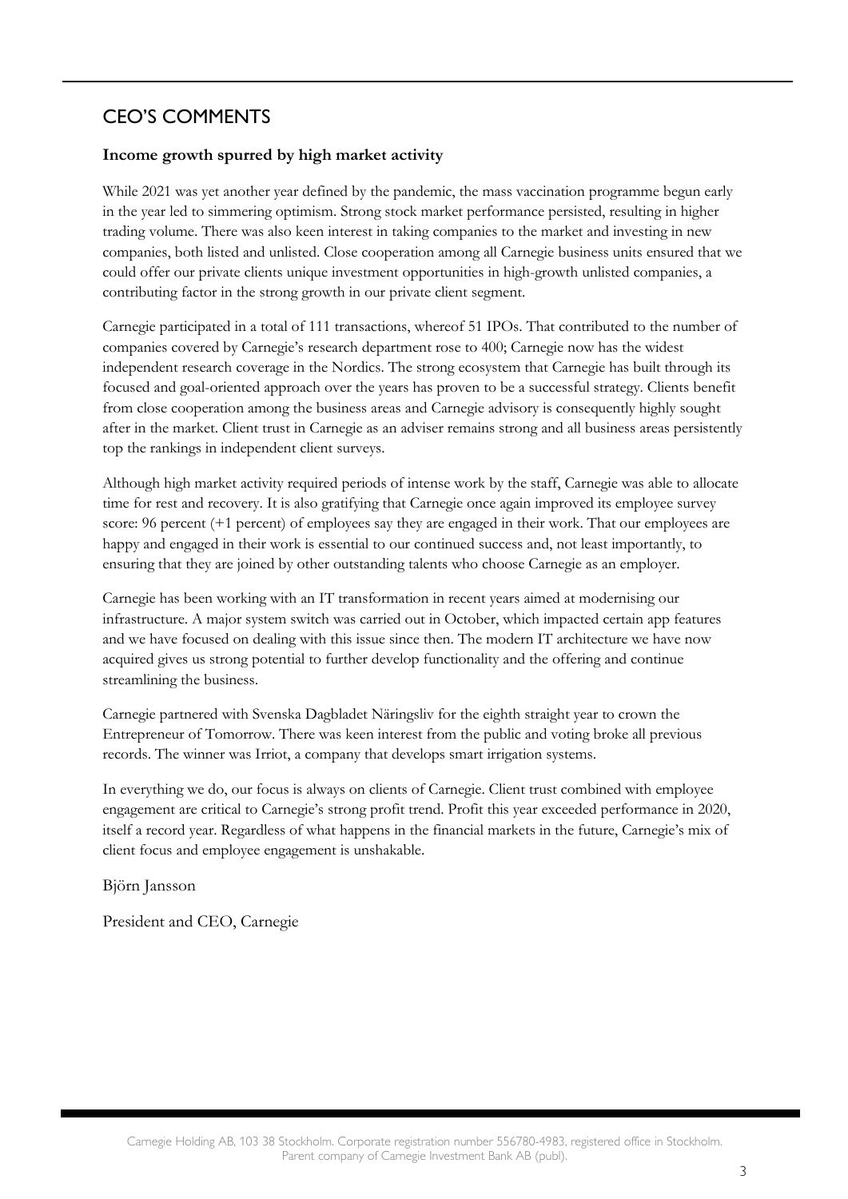## CEO'S COMMENTS

### **Income growth spurred by high market activity**

While 2021 was yet another year defined by the pandemic, the mass vaccination programme begun early in the year led to simmering optimism. Strong stock market performance persisted, resulting in higher trading volume. There was also keen interest in taking companies to the market and investing in new companies, both listed and unlisted. Close cooperation among all Carnegie business units ensured that we could offer our private clients unique investment opportunities in high-growth unlisted companies, a contributing factor in the strong growth in our private client segment.

Carnegie participated in a total of 111 transactions, whereof 51 IPOs. That contributed to the number of companies covered by Carnegie's research department rose to 400; Carnegie now has the widest independent research coverage in the Nordics. The strong ecosystem that Carnegie has built through its focused and goal-oriented approach over the years has proven to be a successful strategy. Clients benefit from close cooperation among the business areas and Carnegie advisory is consequently highly sought after in the market. Client trust in Carnegie as an adviser remains strong and all business areas persistently top the rankings in independent client surveys.

Although high market activity required periods of intense work by the staff, Carnegie was able to allocate time for rest and recovery. It is also gratifying that Carnegie once again improved its employee survey score: 96 percent (+1 percent) of employees say they are engaged in their work. That our employees are happy and engaged in their work is essential to our continued success and, not least importantly, to ensuring that they are joined by other outstanding talents who choose Carnegie as an employer.

Carnegie has been working with an IT transformation in recent years aimed at modernising our infrastructure. A major system switch was carried out in October, which impacted certain app features and we have focused on dealing with this issue since then. The modern IT architecture we have now acquired gives us strong potential to further develop functionality and the offering and continue streamlining the business.

Carnegie partnered with Svenska Dagbladet Näringsliv for the eighth straight year to crown the Entrepreneur of Tomorrow. There was keen interest from the public and voting broke all previous records. The winner was Irriot, a company that develops smart irrigation systems.

In everything we do, our focus is always on clients of Carnegie. Client trust combined with employee engagement are critical to Carnegie's strong profit trend. Profit this year exceeded performance in 2020, itself a record year. Regardless of what happens in the financial markets in the future, Carnegie's mix of client focus and employee engagement is unshakable.

Björn Jansson

President and CEO, Carnegie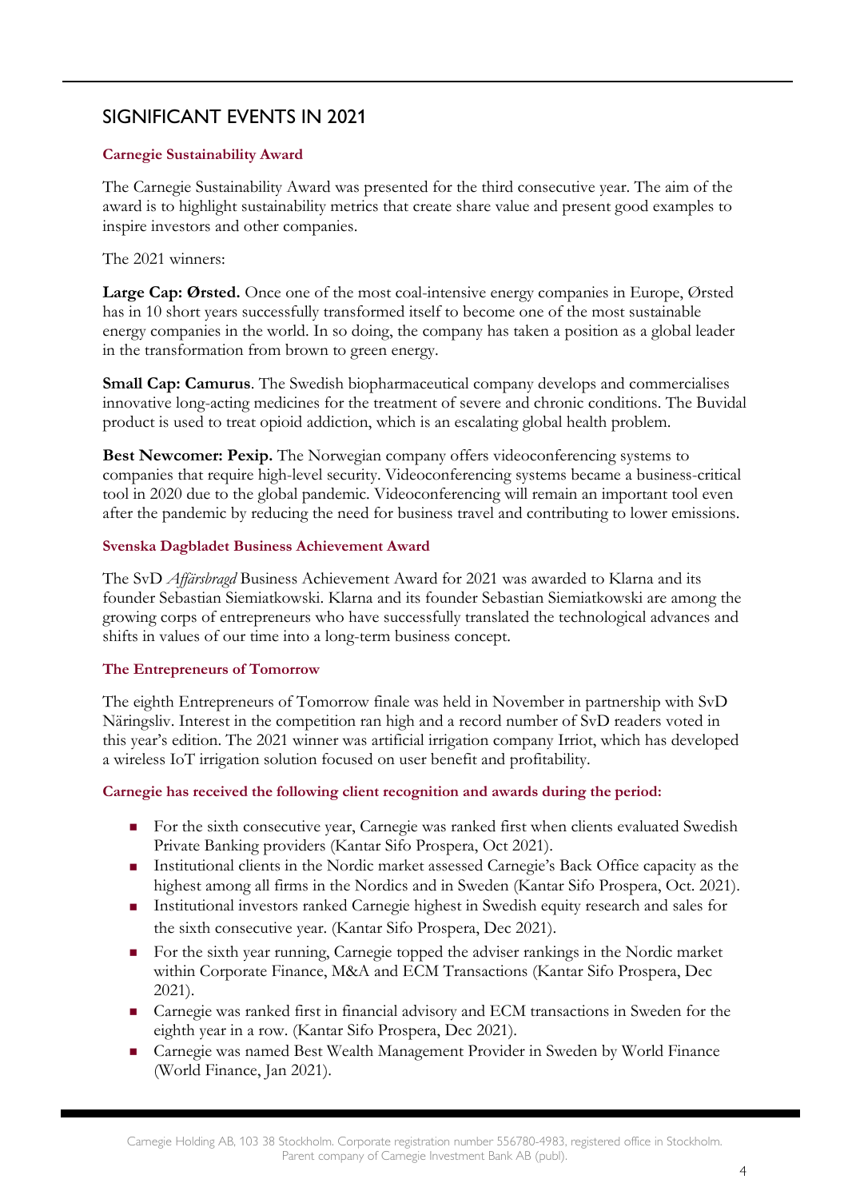## SIGNIFICANT EVENTS IN 2021

### **Carnegie Sustainability Award**

The Carnegie Sustainability Award was presented for the third consecutive year. The aim of the award is to highlight sustainability metrics that create share value and present good examples to inspire investors and other companies.

### The 2021 winners:

**Large Cap: Ørsted.** Once one of the most coal-intensive energy companies in Europe, Ørsted has in 10 short years successfully transformed itself to become one of the most sustainable energy companies in the world. In so doing, the company has taken a position as a global leader in the transformation from brown to green energy.

**Small Cap: Camurus**. The Swedish biopharmaceutical company develops and commercialises innovative long-acting medicines for the treatment of severe and chronic conditions. The Buvidal product is used to treat opioid addiction, which is an escalating global health problem.

**Best Newcomer: Pexip.** The Norwegian company offers videoconferencing systems to companies that require high-level security. Videoconferencing systems became a business-critical tool in 2020 due to the global pandemic. Videoconferencing will remain an important tool even after the pandemic by reducing the need for business travel and contributing to lower emissions.

#### **Svenska Dagbladet Business Achievement Award**

The SvD *Affärsbragd* Business Achievement Award for 2021 was awarded to Klarna and its founder Sebastian Siemiatkowski. Klarna and its founder Sebastian Siemiatkowski are among the growing corps of entrepreneurs who have successfully translated the technological advances and shifts in values of our time into a long-term business concept.

#### **The Entrepreneurs of Tomorrow**

The eighth Entrepreneurs of Tomorrow finale was held in November in partnership with SvD Näringsliv. Interest in the competition ran high and a record number of SvD readers voted in this year's edition. The 2021 winner was artificial irrigation company Irriot, which has developed a wireless IoT irrigation solution focused on user benefit and profitability.

#### **Carnegie has received the following client recognition and awards during the period:**

- For the sixth consecutive year, Carnegie was ranked first when clients evaluated Swedish Private Banking providers (Kantar Sifo Prospera, Oct 2021).
- Institutional clients in the Nordic market assessed Carnegie's Back Office capacity as the highest among all firms in the Nordics and in Sweden (Kantar Sifo Prospera, Oct. 2021).
- Institutional investors ranked Carnegie highest in Swedish equity research and sales for the sixth consecutive year. (Kantar Sifo Prospera, Dec 2021).
- For the sixth year running, Carnegie topped the adviser rankings in the Nordic market within Corporate Finance, M&A and ECM Transactions (Kantar Sifo Prospera, Dec 2021).
- Carnegie was ranked first in financial advisory and ECM transactions in Sweden for the eighth year in a row. (Kantar Sifo Prospera, Dec 2021).
- Carnegie was named Best Wealth Management Provider in Sweden by World Finance (World Finance, Jan 2021).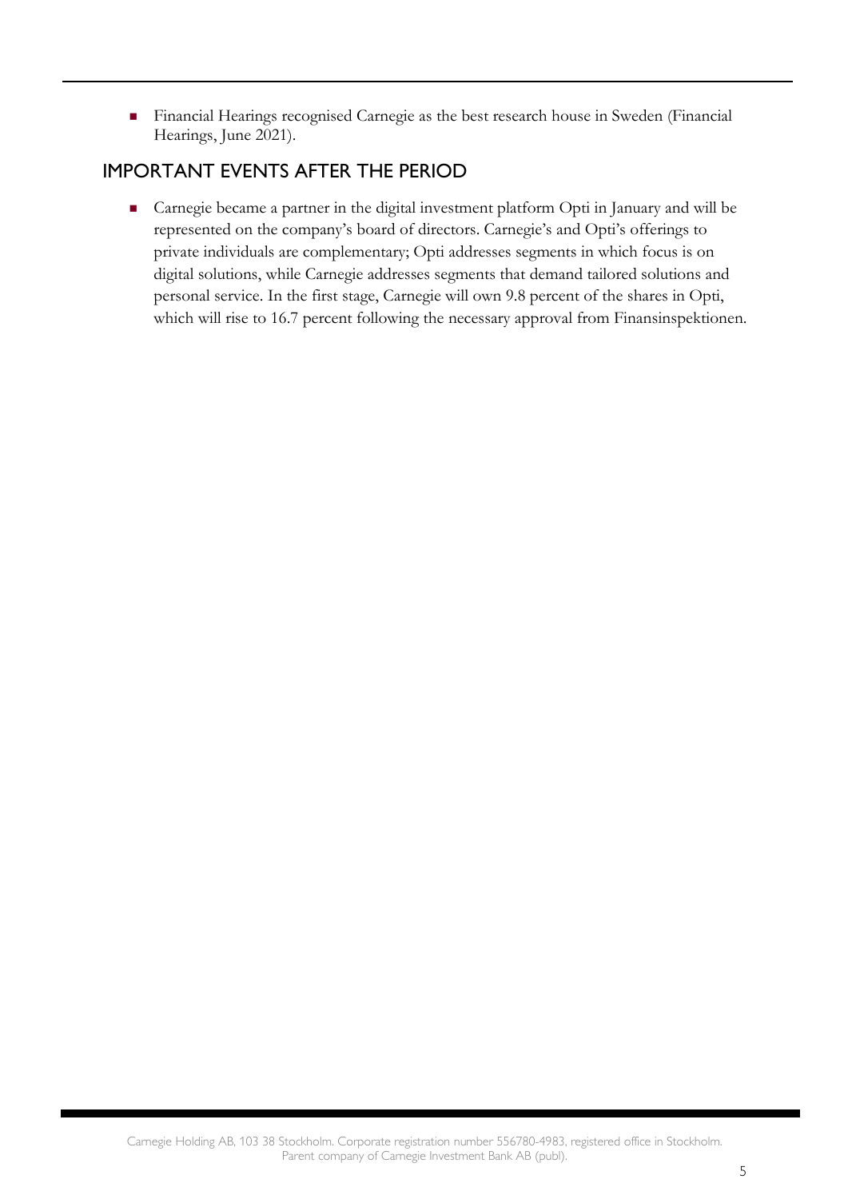Financial Hearings recognised Carnegie as the best research house in Sweden (Financial Hearings, June 2021).

## IMPORTANT EVENTS AFTER THE PERIOD

 Carnegie became a partner in the digital investment platform Opti in January and will be represented on the company's board of directors. Carnegie's and Opti's offerings to private individuals are complementary; Opti addresses segments in which focus is on digital solutions, while Carnegie addresses segments that demand tailored solutions and personal service. In the first stage, Carnegie will own 9.8 percent of the shares in Opti, which will rise to 16.7 percent following the necessary approval from Finansinspektionen.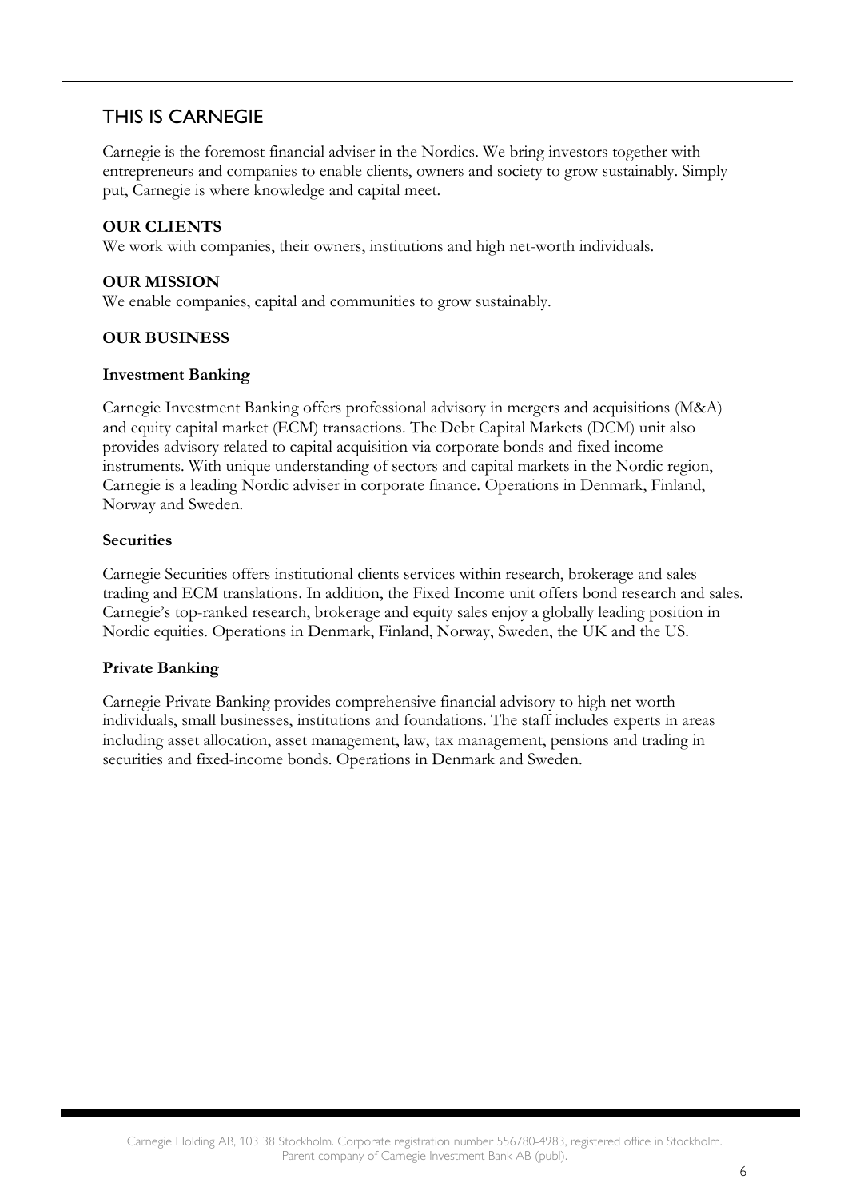## THIS IS CARNEGIE

Carnegie is the foremost financial adviser in the Nordics. We bring investors together with entrepreneurs and companies to enable clients, owners and society to grow sustainably. Simply put, Carnegie is where knowledge and capital meet.

### **OUR CLIENTS**

We work with companies, their owners, institutions and high net-worth individuals.

#### **OUR MISSION**

We enable companies, capital and communities to grow sustainably.

### **OUR BUSINESS**

#### **Investment Banking**

Carnegie Investment Banking offers professional advisory in mergers and acquisitions (M&A) and equity capital market (ECM) transactions. The Debt Capital Markets (DCM) unit also provides advisory related to capital acquisition via corporate bonds and fixed income instruments. With unique understanding of sectors and capital markets in the Nordic region, Carnegie is a leading Nordic adviser in corporate finance. Operations in Denmark, Finland, Norway and Sweden.

#### **Securities**

Carnegie Securities offers institutional clients services within research, brokerage and sales trading and ECM translations. In addition, the Fixed Income unit offers bond research and sales. Carnegie's top-ranked research, brokerage and equity sales enjoy a globally leading position in Nordic equities. Operations in Denmark, Finland, Norway, Sweden, the UK and the US.

#### **Private Banking**

Carnegie Private Banking provides comprehensive financial advisory to high net worth individuals, small businesses, institutions and foundations. The staff includes experts in areas including asset allocation, asset management, law, tax management, pensions and trading in securities and fixed-income bonds. Operations in Denmark and Sweden.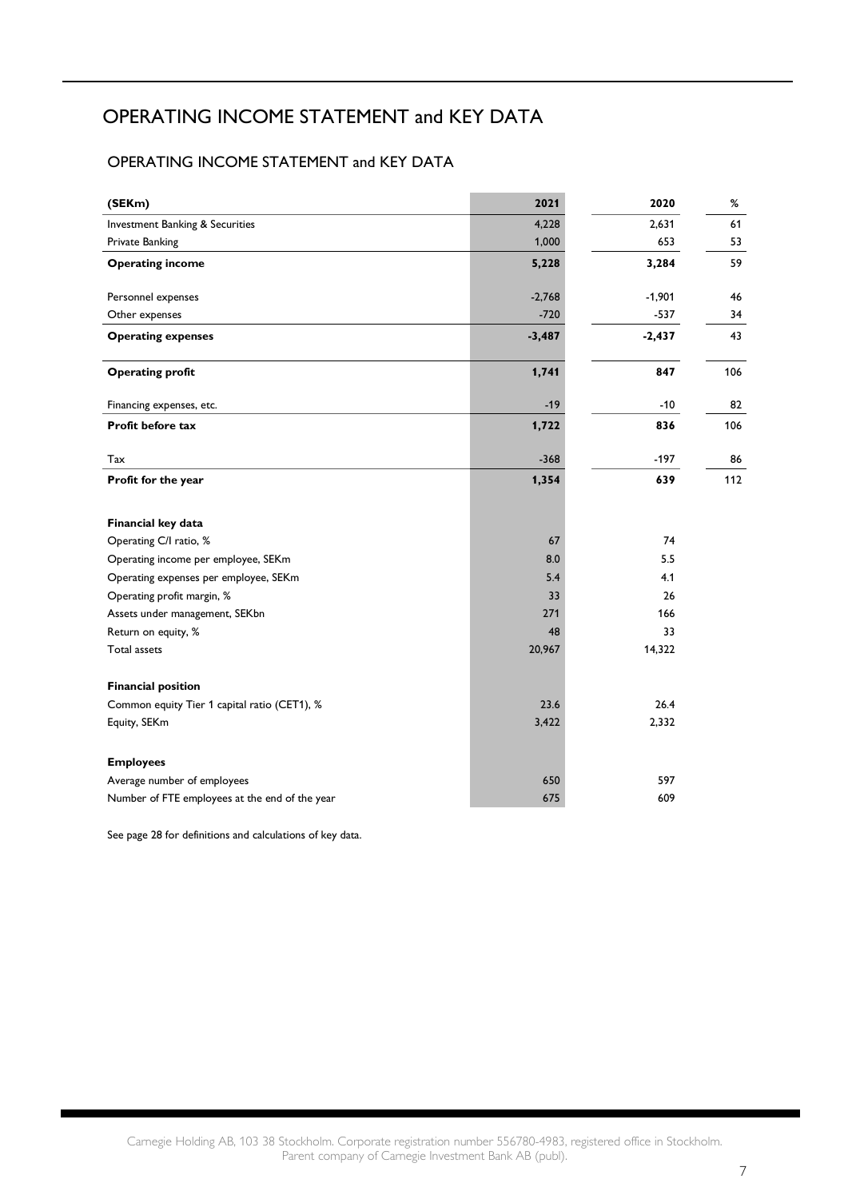## OPERATING INCOME STATEMENT and KEY DATA

### OPERATING INCOME STATEMENT and KEY DATA

| (SEKm)                                         | 2021     | 2020     | %   |
|------------------------------------------------|----------|----------|-----|
| Investment Banking & Securities                | 4,228    | 2,631    | 61  |
| Private Banking                                | 1,000    | 653      | 53  |
| <b>Operating income</b>                        | 5,228    | 3,284    | 59  |
| Personnel expenses                             | $-2,768$ | $-1,901$ | 46  |
| Other expenses                                 | $-720$   | $-537$   | 34  |
| <b>Operating expenses</b>                      | $-3,487$ | $-2,437$ | 43  |
| <b>Operating profit</b>                        | 1,741    | 847      | 106 |
| Financing expenses, etc.                       | $-19$    | $-10$    | 82  |
| Profit before tax                              | 1,722    | 836      | 106 |
| Tax                                            | $-368$   | $-197$   | 86  |
| Profit for the year                            | 1,354    | 639      | 112 |
| Financial key data                             |          |          |     |
| Operating C/I ratio, %                         | 67       | 74       |     |
| Operating income per employee, SEKm            | 8.0      | 5.5      |     |
| Operating expenses per employee, SEKm          | 5.4      | 4.1      |     |
| Operating profit margin, %                     | 33       | 26       |     |
| Assets under management, SEKbn                 | 271      | 166      |     |
| Return on equity, %                            | 48       | 33       |     |
| Total assets                                   | 20,967   | 14,322   |     |
| <b>Financial position</b>                      |          |          |     |
| Common equity Tier 1 capital ratio (CET1), %   | 23.6     | 26.4     |     |
| Equity, SEKm                                   | 3,422    | 2,332    |     |
| <b>Employees</b>                               |          |          |     |
| Average number of employees                    | 650      | 597      |     |
| Number of FTE employees at the end of the year | 675      | 609      |     |

See page 28 for definitions and calculations of key data.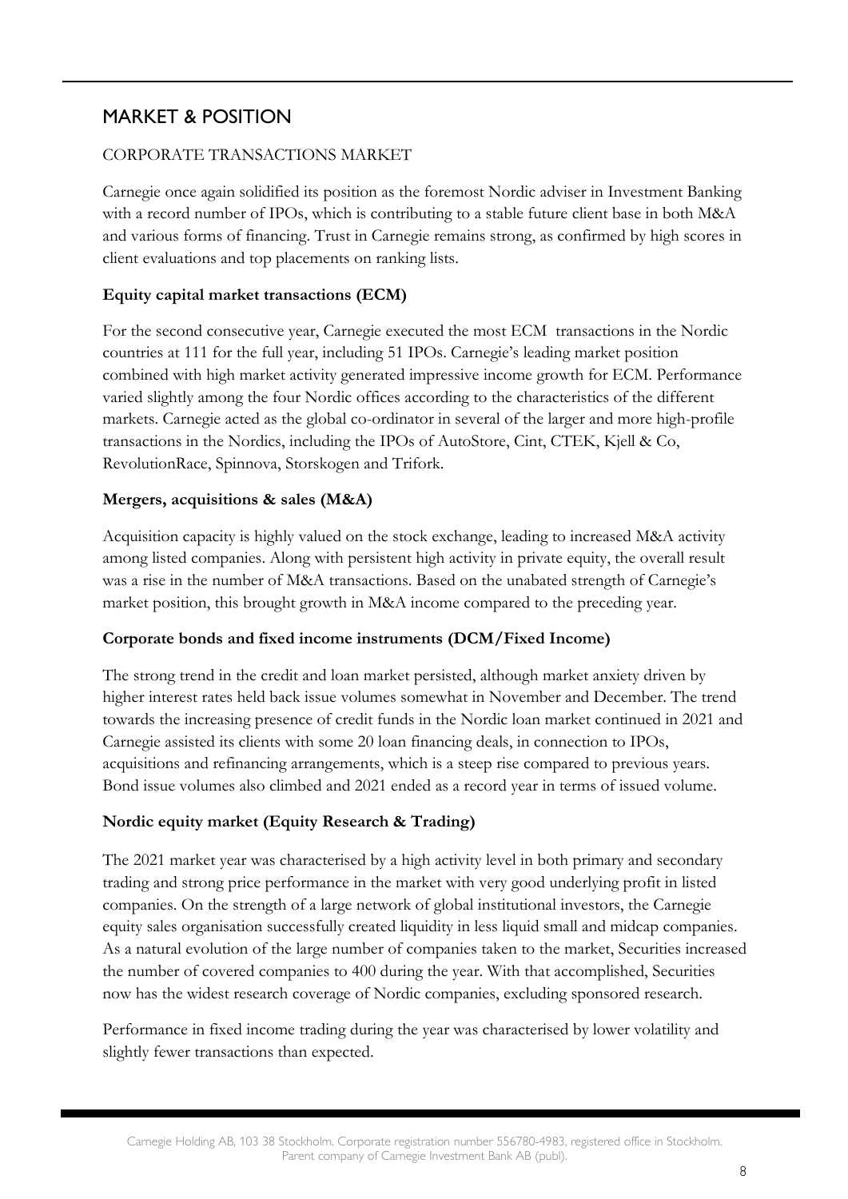## MARKET & POSITION

### CORPORATE TRANSACTIONS MARKET

Carnegie once again solidified its position as the foremost Nordic adviser in Investment Banking with a record number of IPOs, which is contributing to a stable future client base in both M&A and various forms of financing. Trust in Carnegie remains strong, as confirmed by high scores in client evaluations and top placements on ranking lists.

### **Equity capital market transactions (ECM)**

For the second consecutive year, Carnegie executed the most ECM transactions in the Nordic countries at 111 for the full year, including 51 IPOs. Carnegie's leading market position combined with high market activity generated impressive income growth for ECM. Performance varied slightly among the four Nordic offices according to the characteristics of the different markets. Carnegie acted as the global co-ordinator in several of the larger and more high-profile transactions in the Nordics, including the IPOs of AutoStore, Cint, CTEK, Kjell & Co, RevolutionRace, Spinnova, Storskogen and Trifork.

### **Mergers, acquisitions & sales (M&A)**

Acquisition capacity is highly valued on the stock exchange, leading to increased M&A activity among listed companies. Along with persistent high activity in private equity, the overall result was a rise in the number of M&A transactions. Based on the unabated strength of Carnegie's market position, this brought growth in M&A income compared to the preceding year.

#### **Corporate bonds and fixed income instruments (DCM/Fixed Income)**

The strong trend in the credit and loan market persisted, although market anxiety driven by higher interest rates held back issue volumes somewhat in November and December. The trend towards the increasing presence of credit funds in the Nordic loan market continued in 2021 and Carnegie assisted its clients with some 20 loan financing deals, in connection to IPOs, acquisitions and refinancing arrangements, which is a steep rise compared to previous years. Bond issue volumes also climbed and 2021 ended as a record year in terms of issued volume.

### **Nordic equity market (Equity Research & Trading)**

The 2021 market year was characterised by a high activity level in both primary and secondary trading and strong price performance in the market with very good underlying profit in listed companies. On the strength of a large network of global institutional investors, the Carnegie equity sales organisation successfully created liquidity in less liquid small and midcap companies. As a natural evolution of the large number of companies taken to the market, Securities increased the number of covered companies to 400 during the year. With that accomplished, Securities now has the widest research coverage of Nordic companies, excluding sponsored research.

Performance in fixed income trading during the year was characterised by lower volatility and slightly fewer transactions than expected.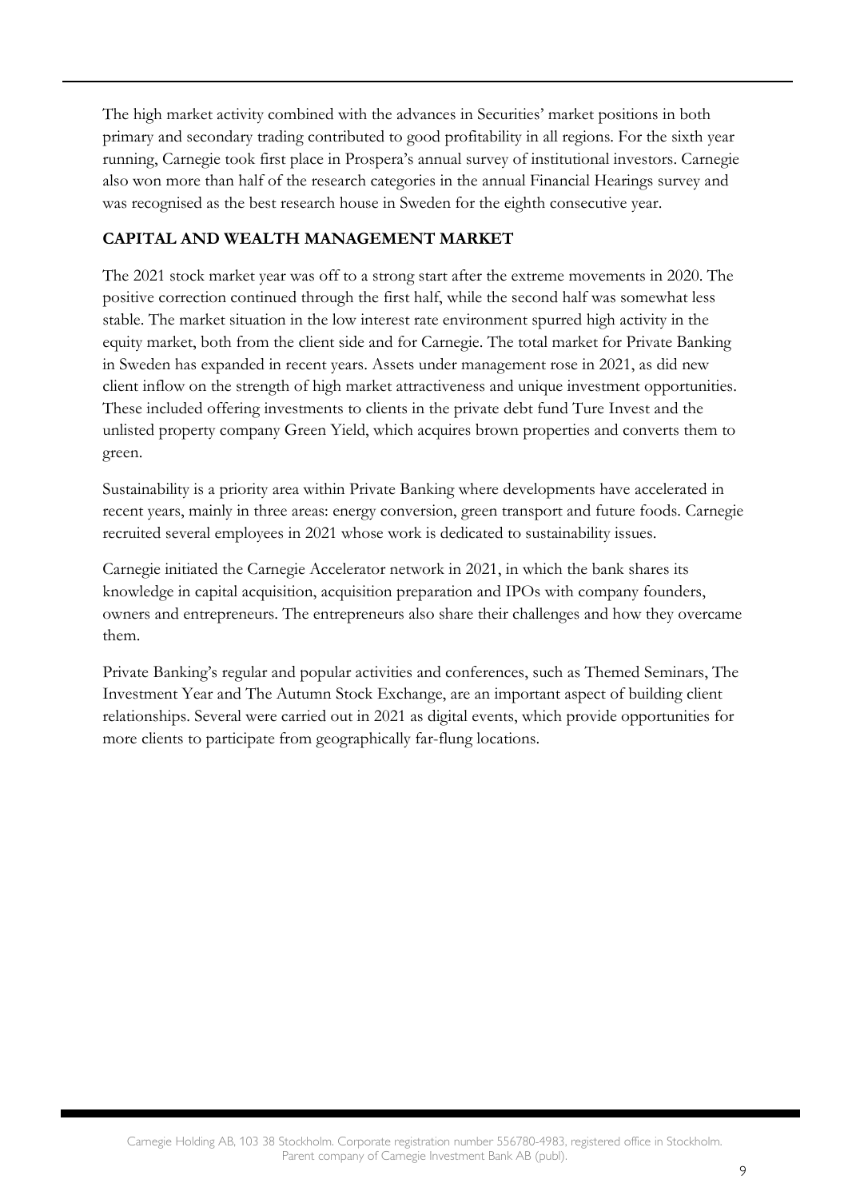The high market activity combined with the advances in Securities' market positions in both primary and secondary trading contributed to good profitability in all regions. For the sixth year running, Carnegie took first place in Prospera's annual survey of institutional investors. Carnegie also won more than half of the research categories in the annual Financial Hearings survey and was recognised as the best research house in Sweden for the eighth consecutive year.

### **CAPITAL AND WEALTH MANAGEMENT MARKET**

The 2021 stock market year was off to a strong start after the extreme movements in 2020. The positive correction continued through the first half, while the second half was somewhat less stable. The market situation in the low interest rate environment spurred high activity in the equity market, both from the client side and for Carnegie. The total market for Private Banking in Sweden has expanded in recent years. Assets under management rose in 2021, as did new client inflow on the strength of high market attractiveness and unique investment opportunities. These included offering investments to clients in the private debt fund Ture Invest and the unlisted property company Green Yield, which acquires brown properties and converts them to green.

Sustainability is a priority area within Private Banking where developments have accelerated in recent years, mainly in three areas: energy conversion, green transport and future foods. Carnegie recruited several employees in 2021 whose work is dedicated to sustainability issues.

Carnegie initiated the Carnegie Accelerator network in 2021, in which the bank shares its knowledge in capital acquisition, acquisition preparation and IPOs with company founders, owners and entrepreneurs. The entrepreneurs also share their challenges and how they overcame them.

Private Banking's regular and popular activities and conferences, such as Themed Seminars, The Investment Year and The Autumn Stock Exchange, are an important aspect of building client relationships. Several were carried out in 2021 as digital events, which provide opportunities for more clients to participate from geographically far-flung locations.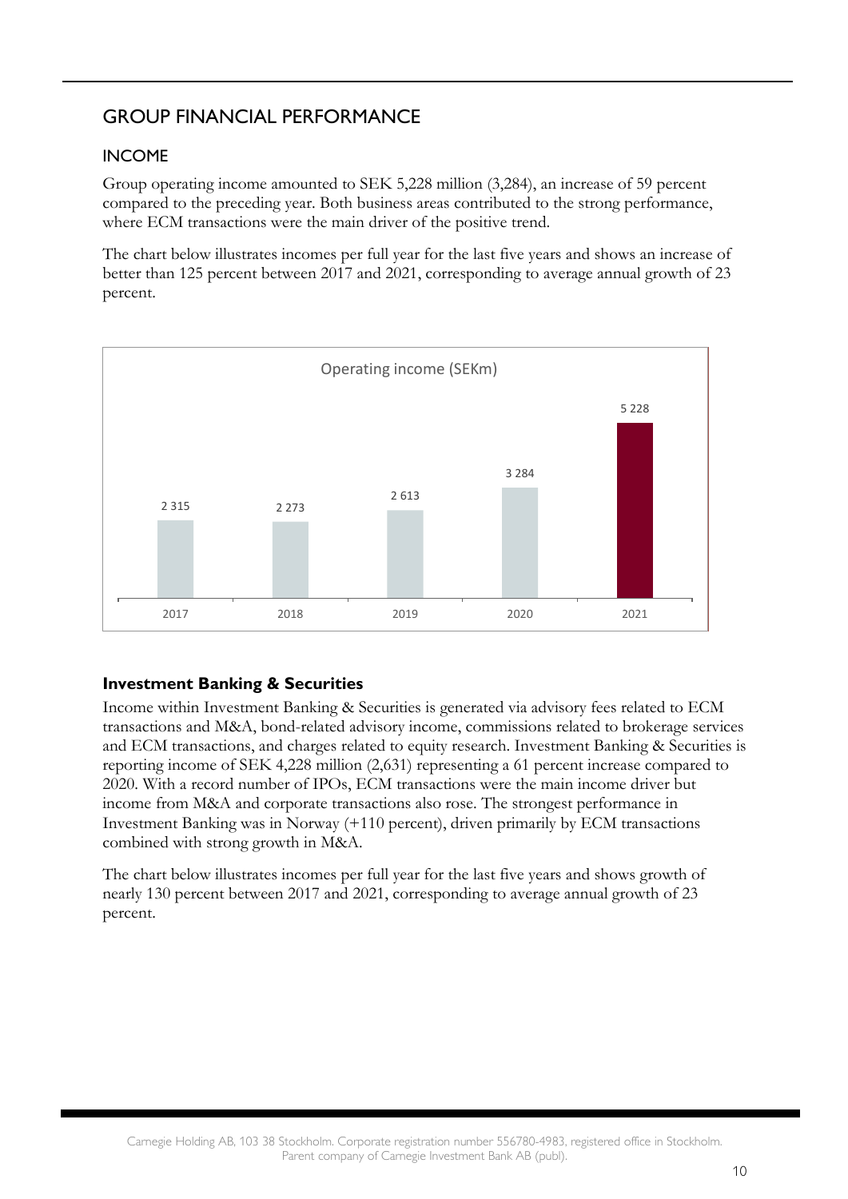## GROUP FINANCIAL PERFORMANCE

### INCOME

Group operating income amounted to SEK 5,228 million (3,284), an increase of 59 percent compared to the preceding year. Both business areas contributed to the strong performance, where ECM transactions were the main driver of the positive trend.

The chart below illustrates incomes per full year for the last five years and shows an increase of better than 125 percent between 2017 and 2021, corresponding to average annual growth of 23 percent.



### **Investment Banking & Securities**

Income within Investment Banking & Securities is generated via advisory fees related to ECM transactions and M&A, bond-related advisory income, commissions related to brokerage services and ECM transactions, and charges related to equity research. Investment Banking & Securities is reporting income of SEK 4,228 million (2,631) representing a 61 percent increase compared to 2020. With a record number of IPOs, ECM transactions were the main income driver but income from M&A and corporate transactions also rose. The strongest performance in Investment Banking was in Norway (+110 percent), driven primarily by ECM transactions combined with strong growth in M&A.

The chart below illustrates incomes per full year for the last five years and shows growth of nearly 130 percent between 2017 and 2021, corresponding to average annual growth of 23 percent.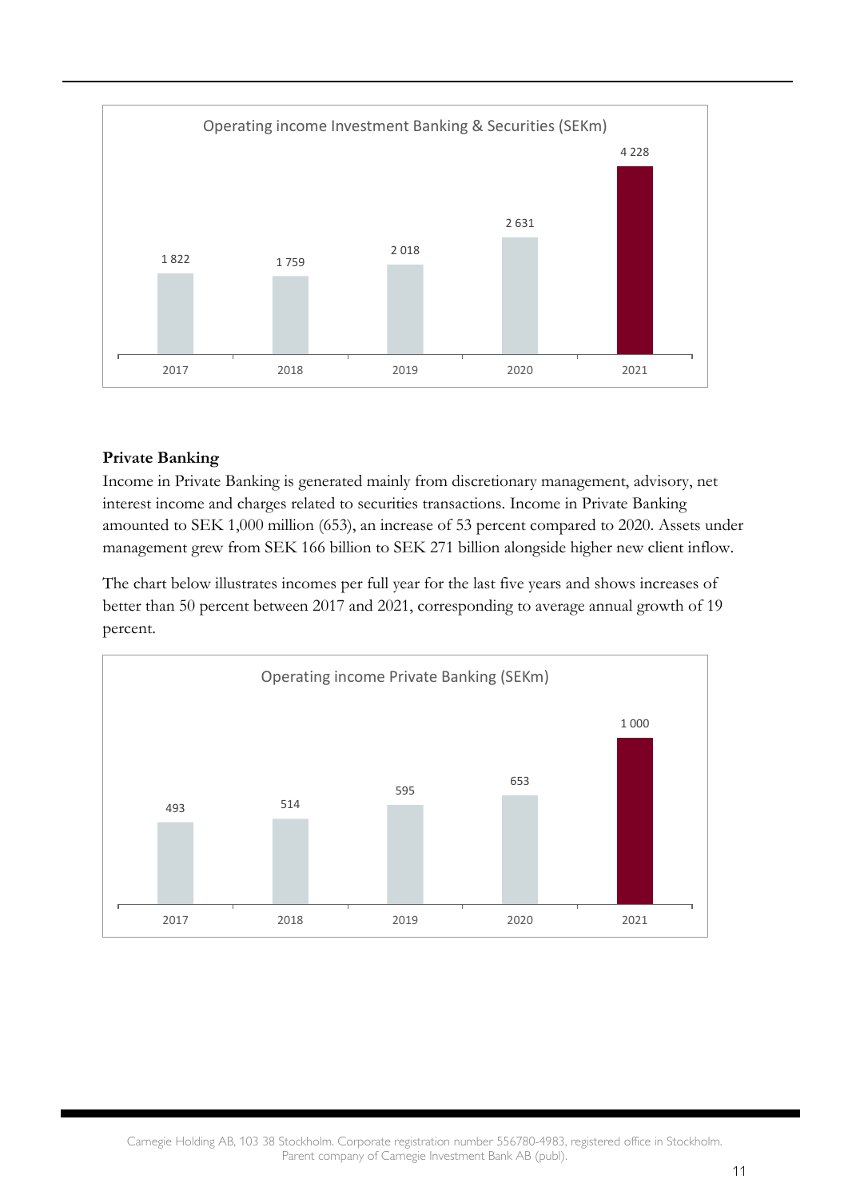

### **Private Banking**

Income in Private Banking is generated mainly from discretionary management, advisory, net interest income and charges related to securities transactions. Income in Private Banking amounted to SEK 1,000 million (653), an increase of 53 percent compared to 2020. Assets under management grew from SEK 166 billion to SEK 271 billion alongside higher new client inflow.

The chart below illustrates incomes per full year for the last five years and shows increases of better than 50 percent between 2017 and 2021, corresponding to average annual growth of 19 percent.

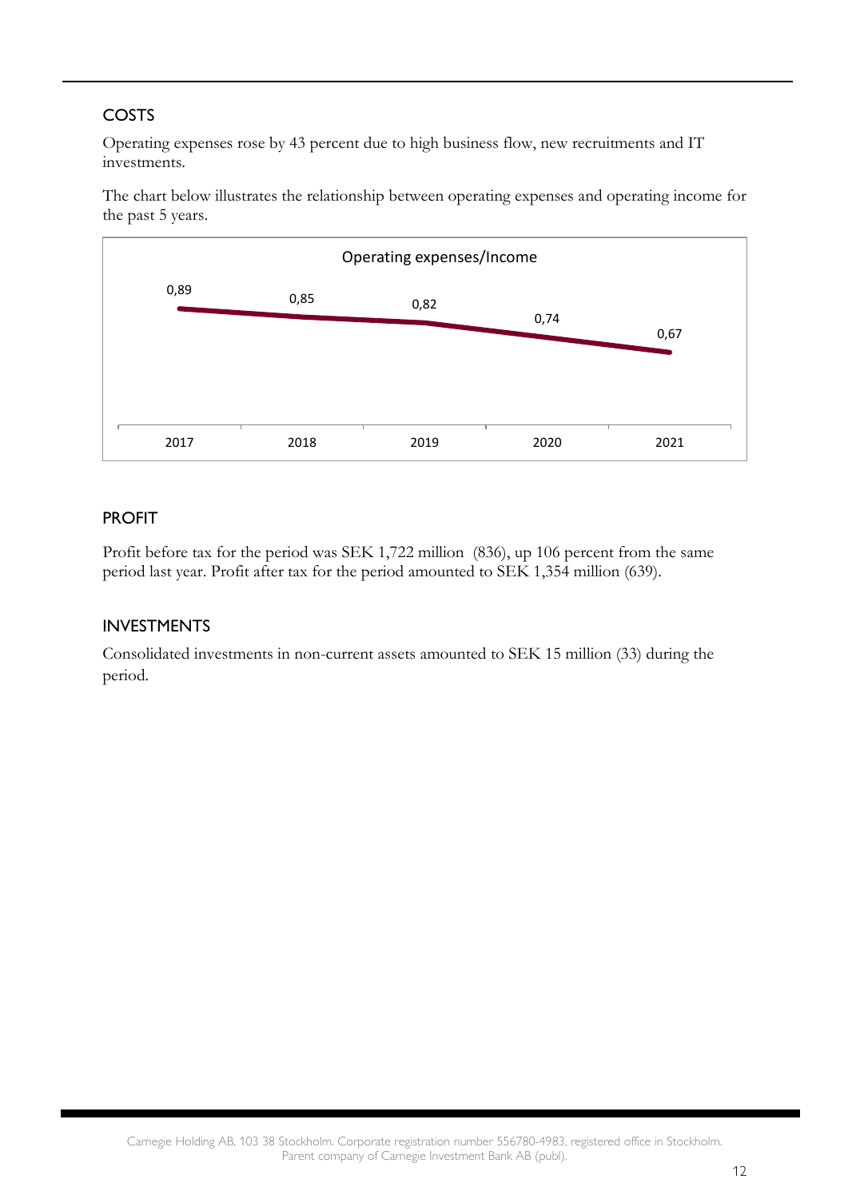## COSTS

Operating expenses rose by 43 percent due to high business flow, new recruitments and IT investments.

The chart below illustrates the relationship between operating expenses and operating income for the past 5 years.



### PROFIT

Profit before tax for the period was SEK 1,722 million (836), up 106 percent from the same period last year. Profit after tax for the period amounted to SEK 1,354 million (639).

### INVESTMENTS

Consolidated investments in non-current assets amounted to SEK 15 million (33) during the period.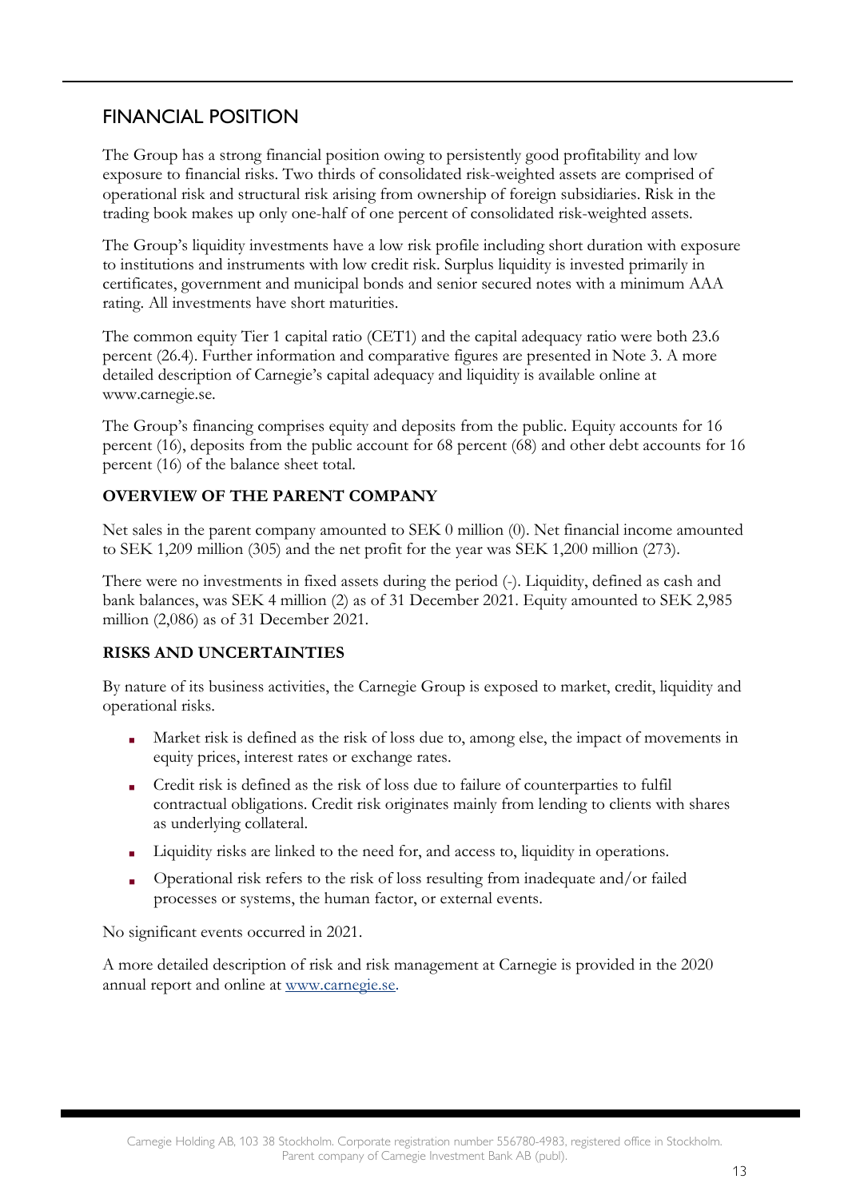## FINANCIAL POSITION

The Group has a strong financial position owing to persistently good profitability and low exposure to financial risks. Two thirds of consolidated risk-weighted assets are comprised of operational risk and structural risk arising from ownership of foreign subsidiaries. Risk in the trading book makes up only one-half of one percent of consolidated risk-weighted assets.

The Group's liquidity investments have a low risk profile including short duration with exposure to institutions and instruments with low credit risk. Surplus liquidity is invested primarily in certificates, government and municipal bonds and senior secured notes with a minimum AAA rating. All investments have short maturities.

The common equity Tier 1 capital ratio (CET1) and the capital adequacy ratio were both 23.6 percent (26.4). Further information and comparative figures are presented in Note 3. A more detailed description of Carnegie's capital adequacy and liquidity is available online at [www.carnegie.se.](http://www.carnegie.se/)

The Group's financing comprises equity and deposits from the public. Equity accounts for 16 percent (16), deposits from the public account for 68 percent (68) and other debt accounts for 16 percent (16) of the balance sheet total.

### **OVERVIEW OF THE PARENT COMPANY**

Net sales in the parent company amounted to SEK 0 million (0). Net financial income amounted to SEK 1,209 million (305) and the net profit for the year was SEK 1,200 million (273).

There were no investments in fixed assets during the period (-). Liquidity, defined as cash and bank balances, was SEK 4 million (2) as of 31 December 2021. Equity amounted to SEK 2,985 million (2,086) as of 31 December 2021.

### **RISKS AND UNCERTAINTIES**

By nature of its business activities, the Carnegie Group is exposed to market, credit, liquidity and operational risks.

- Market risk is defined as the risk of loss due to, among else, the impact of movements in equity prices, interest rates or exchange rates.
- Credit risk is defined as the risk of loss due to failure of counterparties to fulfil contractual obligations. Credit risk originates mainly from lending to clients with shares as underlying collateral.
- Liquidity risks are linked to the need for, and access to, liquidity in operations.
- Operational risk refers to the risk of loss resulting from inadequate and/or failed processes or systems, the human factor, or external events.

No significant events occurred in 2021.

A more detailed description of risk and risk management at Carnegie is provided in the 2020 annual report and online at [www.carnegie.se](http://www.carnegie.se/).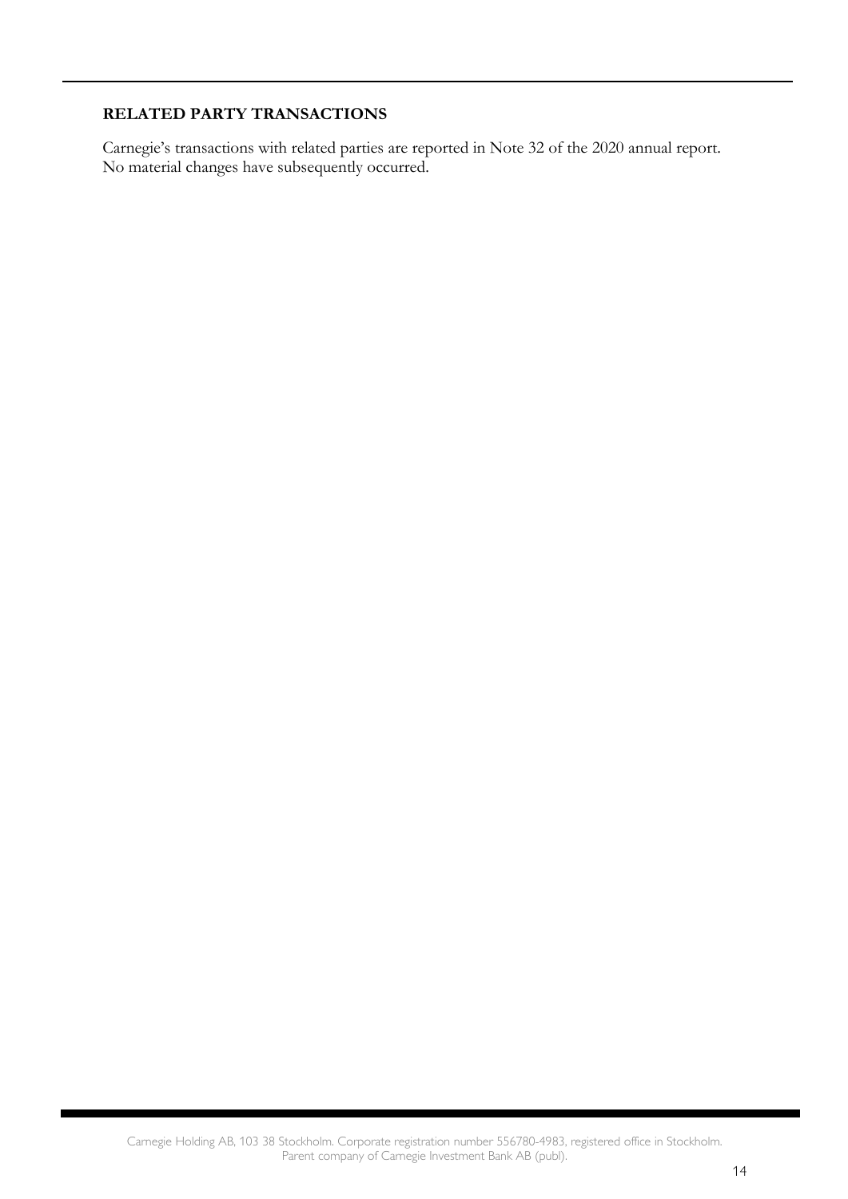### **RELATED PARTY TRANSACTIONS**

Carnegie's transactions with related parties are reported in Note 32 of the 2020 annual report. No material changes have subsequently occurred.

Carnegie Holding AB, 103 38 Stockholm. Corporate registration number 556780-4983, registered office in Stockholm. Parent company of Carnegie Investment Bank AB (publ).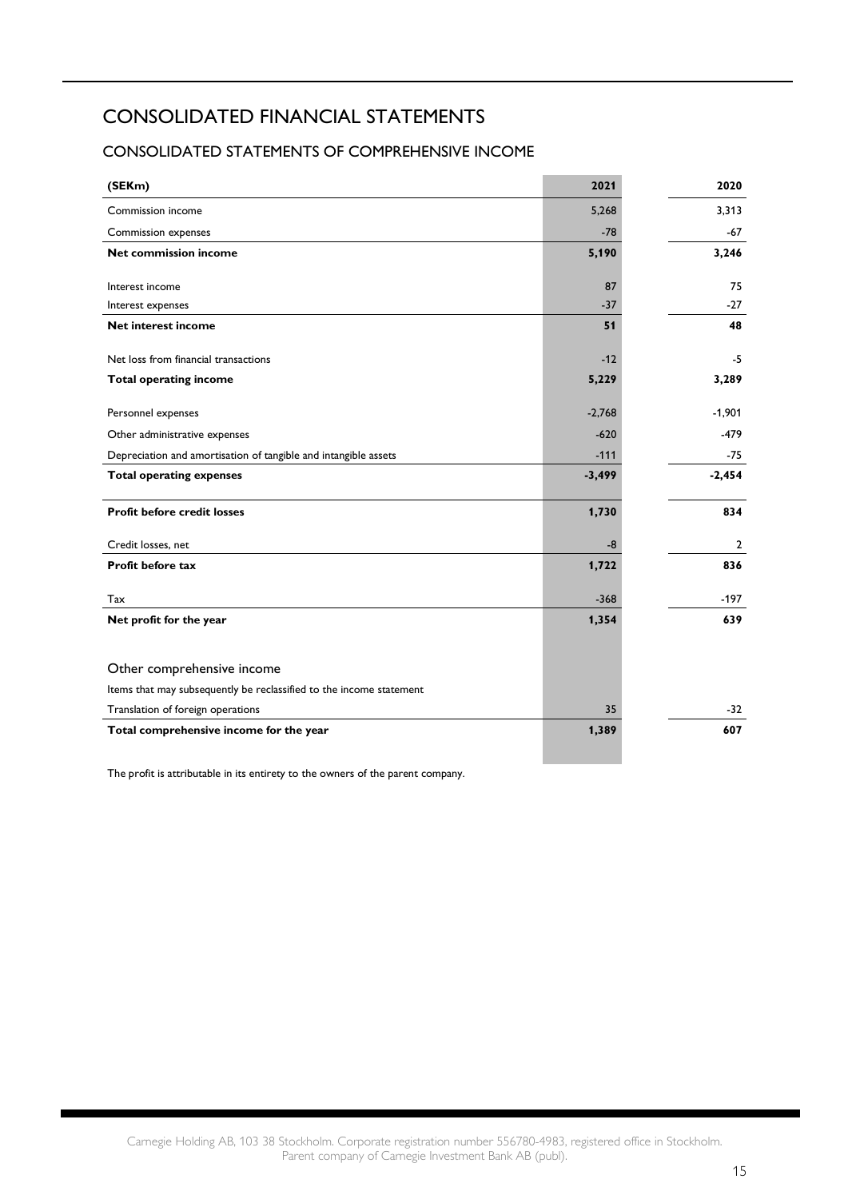## CONSOLIDATED FINANCIAL STATEMENTS

### CONSOLIDATED STATEMENTS OF COMPREHENSIVE INCOME

| (SEKm)                                                              | 2021     | 2020     |
|---------------------------------------------------------------------|----------|----------|
| Commission income                                                   | 5,268    | 3,313    |
| Commission expenses                                                 | $-78$    | $-67$    |
| Net commission income                                               | 5,190    | 3,246    |
|                                                                     |          |          |
| Interest income                                                     | 87       | 75       |
| Interest expenses                                                   | $-37$    | $-27$    |
| <b>Net interest income</b>                                          | 51       | 48       |
| Net loss from financial transactions                                | $-12$    | $-5$     |
| <b>Total operating income</b>                                       | 5,229    | 3,289    |
| Personnel expenses                                                  | $-2,768$ | $-1,901$ |
|                                                                     | $-620$   | $-479$   |
| Other administrative expenses                                       |          |          |
| Depreciation and amortisation of tangible and intangible assets     | $-111$   | $-75$    |
| <b>Total operating expenses</b>                                     | $-3,499$ | $-2,454$ |
| <b>Profit before credit losses</b>                                  | 1,730    | 834      |
| Credit losses, net                                                  | -8       | 2        |
| Profit before tax                                                   | 1,722    | 836      |
| Tax                                                                 | $-368$   | $-197$   |
| Net profit for the year                                             | 1,354    | 639      |
|                                                                     |          |          |
| Other comprehensive income                                          |          |          |
| Items that may subsequently be reclassified to the income statement |          |          |
| Translation of foreign operations                                   | 35       | -32      |
| Total comprehensive income for the year                             | 1,389    | 607      |

The profit is attributable in its entirety to the owners of the parent company.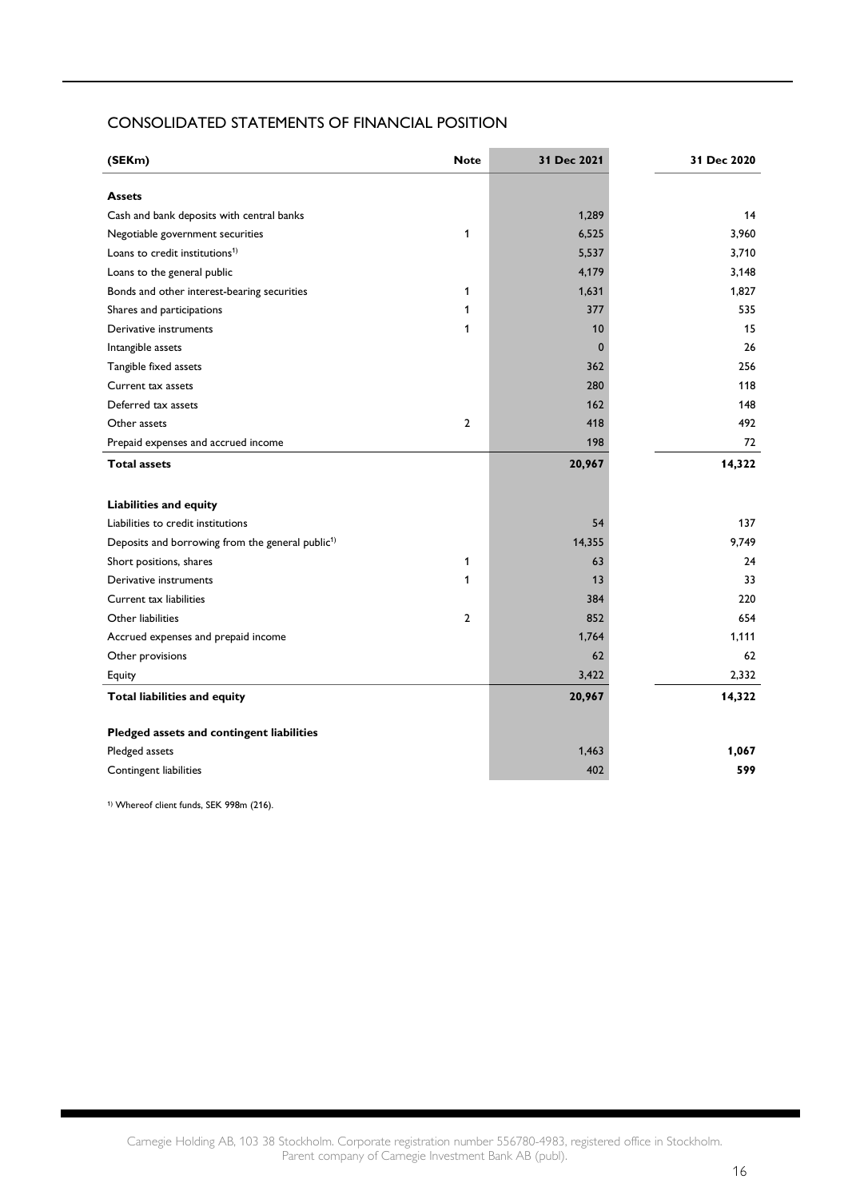#### CONSOLIDATED STATEMENTS OF FINANCIAL POSITION

| (SEKm)                                                       | <b>Note</b>    | 31 Dec 2021 | 31 Dec 2020 |
|--------------------------------------------------------------|----------------|-------------|-------------|
| <b>Assets</b>                                                |                |             |             |
| Cash and bank deposits with central banks                    |                | 1,289       | 14          |
| Negotiable government securities                             | 1              | 6,525       | 3,960       |
| Loans to credit institutions <sup>1)</sup>                   |                | 5,537       | 3,710       |
| Loans to the general public                                  |                | 4,179       | 3,148       |
| Bonds and other interest-bearing securities                  | 1              | 1,631       | 1,827       |
| Shares and participations                                    | 1              | 377         | 535         |
| Derivative instruments                                       | $\mathbf{1}$   | 10          | 15          |
| Intangible assets                                            |                | $\mathbf 0$ | 26          |
| Tangible fixed assets                                        |                | 362         | 256         |
| Current tax assets                                           |                | 280         | 118         |
| Deferred tax assets                                          |                | 162         | 148         |
| Other assets                                                 | $\overline{2}$ | 418         | 492         |
| Prepaid expenses and accrued income                          |                | 198         | 72          |
| <b>Total assets</b>                                          |                | 20,967      | 14,322      |
| <b>Liabilities and equity</b>                                |                |             |             |
| Liabilities to credit institutions                           |                | 54          | 137         |
| Deposits and borrowing from the general public <sup>1)</sup> |                | 14,355      | 9,749       |
| Short positions, shares                                      | 1              | 63          | 24          |
| Derivative instruments                                       | 1              | 13          | 33          |
| Current tax liabilities                                      |                | 384         | 220         |
| Other liabilities                                            | $\overline{2}$ | 852         | 654         |
| Accrued expenses and prepaid income                          |                | 1,764       | 1.111       |
| Other provisions                                             |                | 62          | 62          |
| Equity                                                       |                | 3,422       | 2,332       |
| <b>Total liabilities and equity</b>                          |                | 20,967      | 14,322      |
| Pledged assets and contingent liabilities                    |                |             |             |
| Pledged assets                                               |                | 1,463       | 1,067       |
| Contingent liabilities                                       |                | 402         | 599         |

1) Whereof client funds, SEK 998m (216).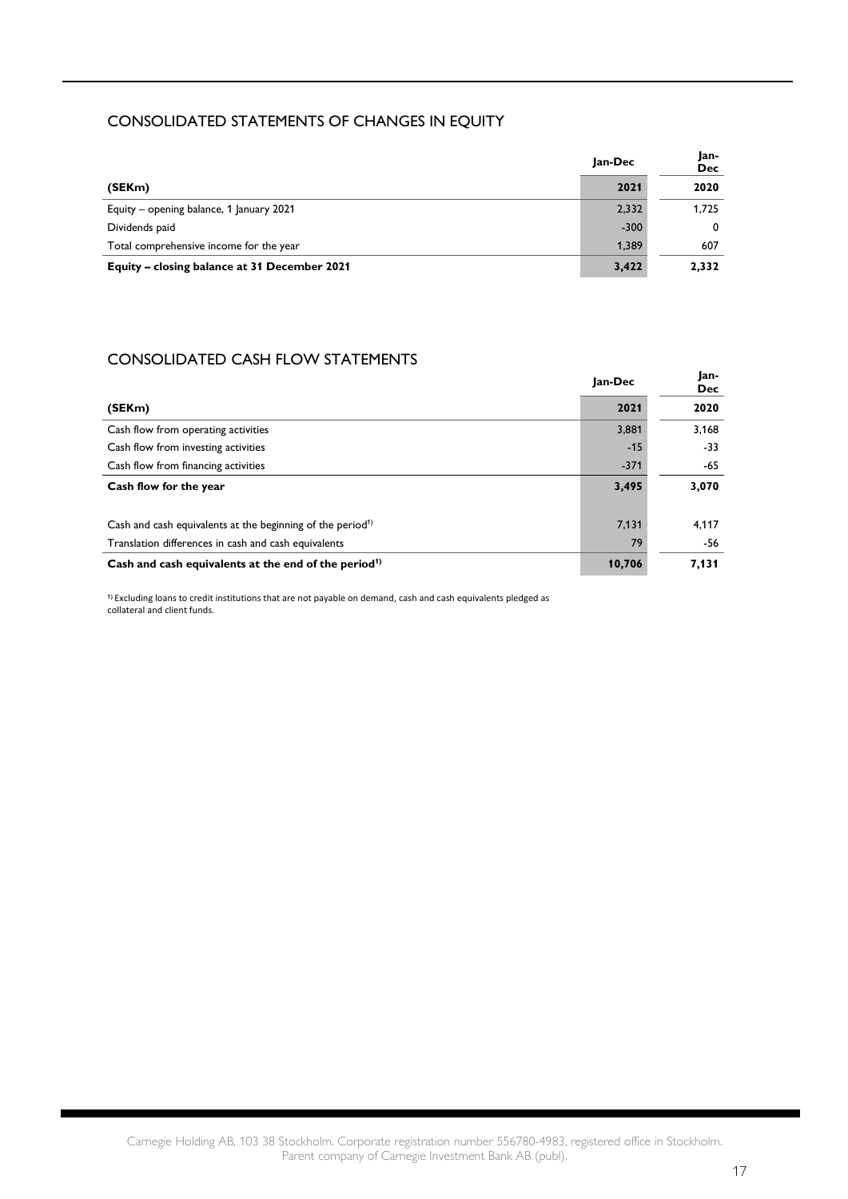#### CONSOLIDATED STATEMENTS OF CHANGES IN EQUITY

|                                              | Jan-Dec | Jan-<br><b>Dec</b> |
|----------------------------------------------|---------|--------------------|
| (SEKm)                                       | 2021    | 2020               |
| Equity – opening balance, 1 January 2021     | 2,332   | 1.725              |
| Dividends paid                               | $-300$  | $^{\circ}$         |
| Total comprehensive income for the year      | 1.389   | 607                |
| Equity – closing balance at 31 December 2021 | 3,422   | 2.332              |

### CONSOLIDATED CASH FLOW STATEMENTS

|                                                                        | Jan-Dec | Jan-<br><b>Dec</b> |
|------------------------------------------------------------------------|---------|--------------------|
| (SEKm)                                                                 | 2021    | 2020               |
| Cash flow from operating activities                                    | 3,881   | 3,168              |
| Cash flow from investing activities                                    | $-15$   | -33                |
| Cash flow from financing activities                                    | $-371$  | -65                |
| Cash flow for the year                                                 | 3,495   | 3,070              |
| Cash and cash equivalents at the beginning of the period <sup>1)</sup> | 7,131   | 4,117              |
| Translation differences in cash and cash equivalents                   | 79      | -56                |
| Cash and cash equivalents at the end of the period <sup>1)</sup>       | 10,706  | 7,131              |

1) Excluding loans to credit institutions that are not payable on demand, cash and cash equivalents pledged as collateral and client funds.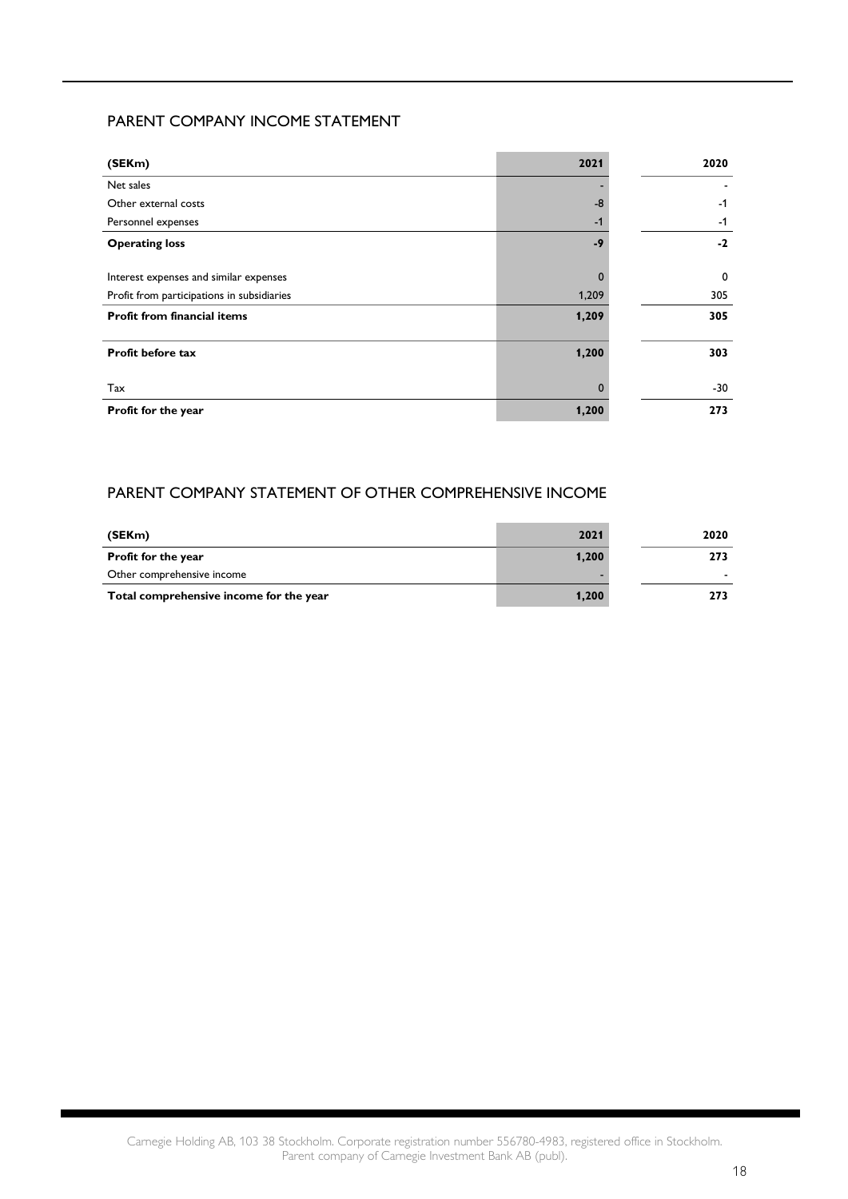#### PARENT COMPANY INCOME STATEMENT

| (SEKm)                                     | 2021     | 2020 |
|--------------------------------------------|----------|------|
| Net sales                                  |          |      |
| Other external costs                       | $-8$     | $-1$ |
| Personnel expenses                         | $-1$     | $-1$ |
| <b>Operating loss</b>                      | $-9$     | $-2$ |
| Interest expenses and similar expenses     |          | 0    |
| Profit from participations in subsidiaries | 1,209    | 305  |
| <b>Profit from financial items</b>         | 1,209    | 305  |
| <b>Profit before tax</b>                   | 1,200    | 303  |
| Tax                                        | $\Omega$ | -30  |
| Profit for the year                        | 1,200    | 273  |

### PARENT COMPANY STATEMENT OF OTHER COMPREHENSIVE INCOME

| (SEKm)                                  | 2021  | 2020 |
|-----------------------------------------|-------|------|
| <b>Profit for the year</b>              | 1,200 | 273  |
| Other comprehensive income              |       |      |
| Total comprehensive income for the year | 1,200 | 273  |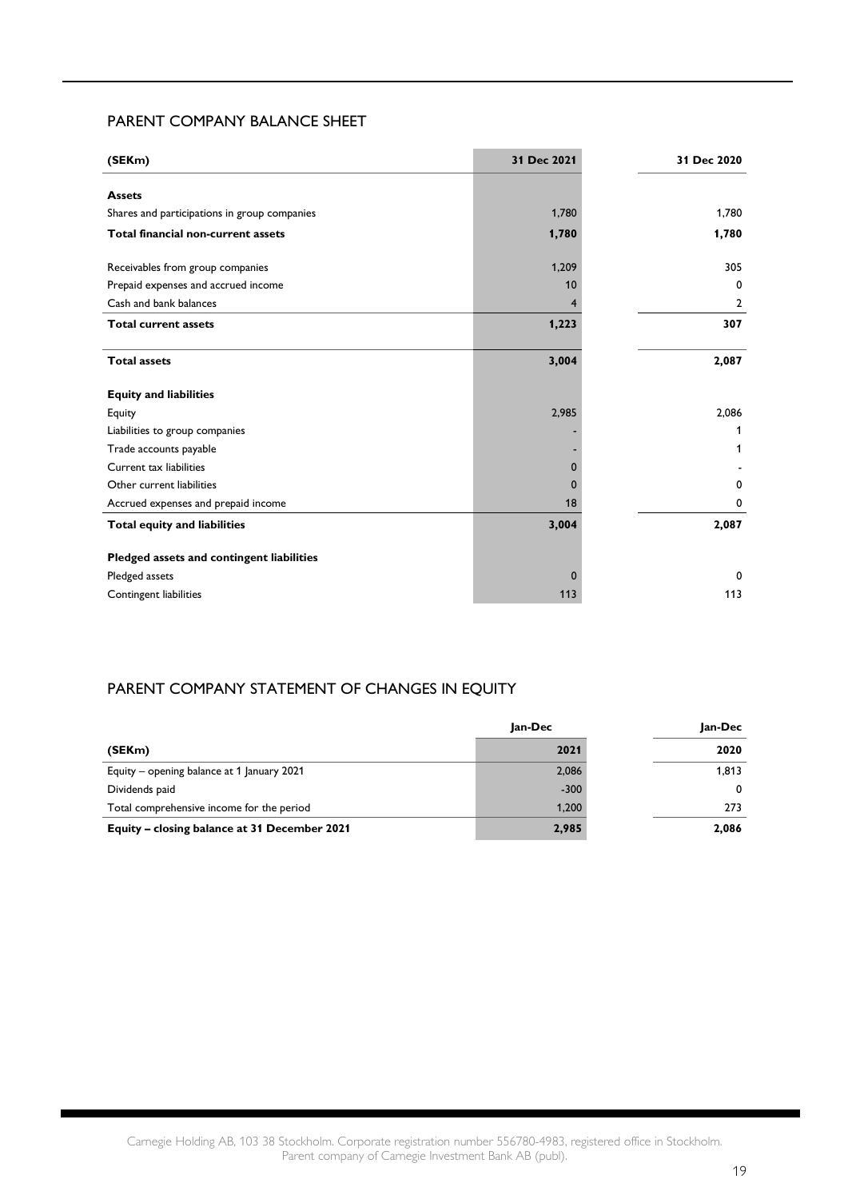#### PARENT COMPANY BALANCE SHEET

| (SEKm)                                       | 31 Dec 2021 | 31 Dec 2020 |
|----------------------------------------------|-------------|-------------|
| <b>Assets</b>                                |             |             |
| Shares and participations in group companies | 1,780       | 1,780       |
| Total financial non-current assets           | 1,780       | 1,780       |
|                                              |             |             |
| Receivables from group companies             | 1,209       | 305         |
| Prepaid expenses and accrued income          | 10          | 0           |
| Cash and bank balances                       |             | 2           |
| <b>Total current assets</b>                  | 1,223       | 307         |
| <b>Total assets</b>                          | 3,004       | 2,087       |
| <b>Equity and liabilities</b>                |             |             |
| Equity                                       | 2,985       | 2,086       |
| Liabilities to group companies               |             | 1           |
| Trade accounts payable                       |             | 1           |
| Current tax liabilities                      | $\Omega$    |             |
| Other current liabilities                    | $\Omega$    | 0           |
| Accrued expenses and prepaid income          | 18          | 0           |
| Total equity and liabilities                 | 3,004       | 2,087       |
| Pledged assets and contingent liabilities    |             |             |
| Pledged assets                               | $\Omega$    | 0           |
| Contingent liabilities                       | 113         | 113         |
|                                              |             |             |

#### PARENT COMPANY STATEMENT OF CHANGES IN EQUITY

|                                              | lan-Dec | Jan-Dec |
|----------------------------------------------|---------|---------|
| (SEKm)                                       | 2021    | 2020    |
| Equity – opening balance at 1 January 2021   | 2,086   | 1,813   |
| Dividends paid                               | $-300$  | 0       |
| Total comprehensive income for the period    | 1,200   | 273     |
| Equity - closing balance at 31 December 2021 | 2,985   | 2,086   |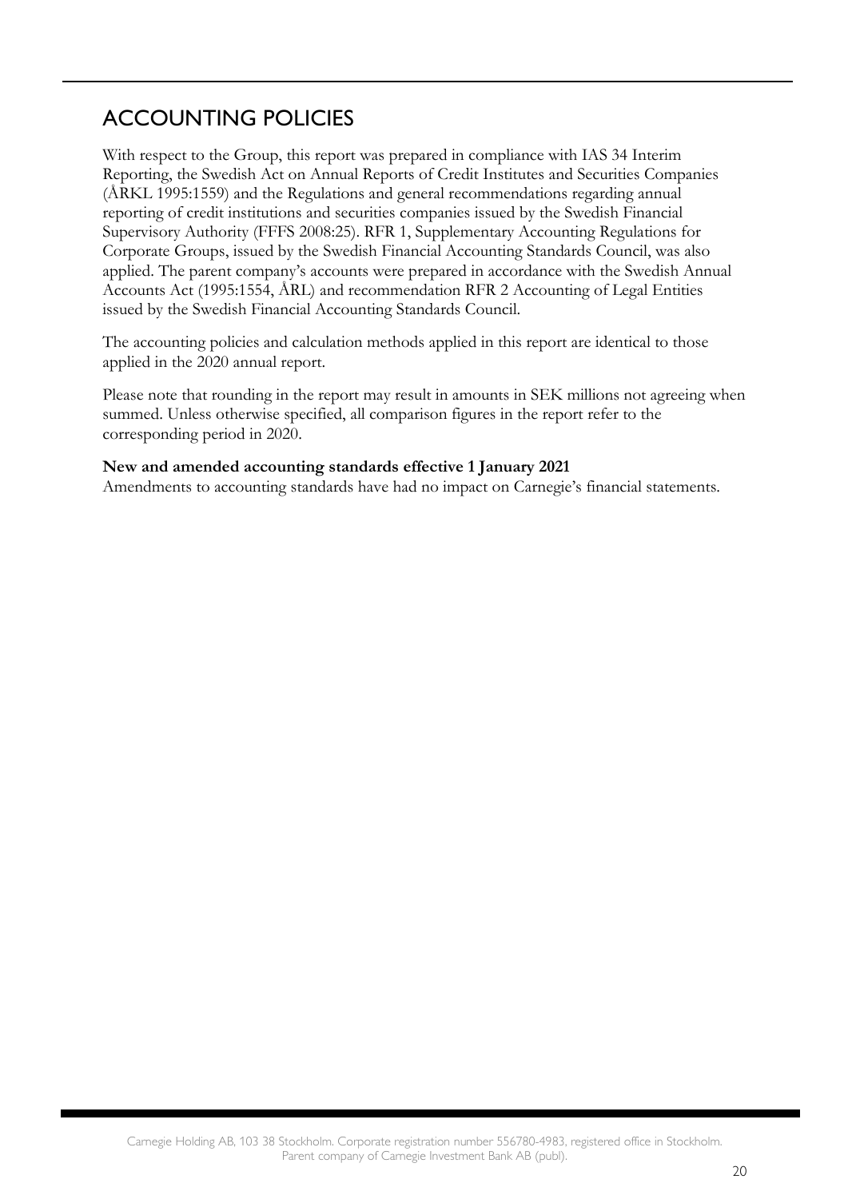## ACCOUNTING POLICIES

With respect to the Group, this report was prepared in compliance with IAS 34 Interim Reporting, the Swedish Act on Annual Reports of Credit Institutes and Securities Companies (ÅRKL 1995:1559) and the Regulations and general recommendations regarding annual reporting of credit institutions and securities companies issued by the Swedish Financial Supervisory Authority (FFFS 2008:25). RFR 1, Supplementary Accounting Regulations for Corporate Groups, issued by the Swedish Financial Accounting Standards Council, was also applied. The parent company's accounts were prepared in accordance with the Swedish Annual Accounts Act (1995:1554, ÅRL) and recommendation RFR 2 Accounting of Legal Entities issued by the Swedish Financial Accounting Standards Council.

The accounting policies and calculation methods applied in this report are identical to those applied in the 2020 annual report.

Please note that rounding in the report may result in amounts in SEK millions not agreeing when summed. Unless otherwise specified, all comparison figures in the report refer to the corresponding period in 2020.

#### **New and amended accounting standards effective 1 January 2021**

Amendments to accounting standards have had no impact on Carnegie's financial statements.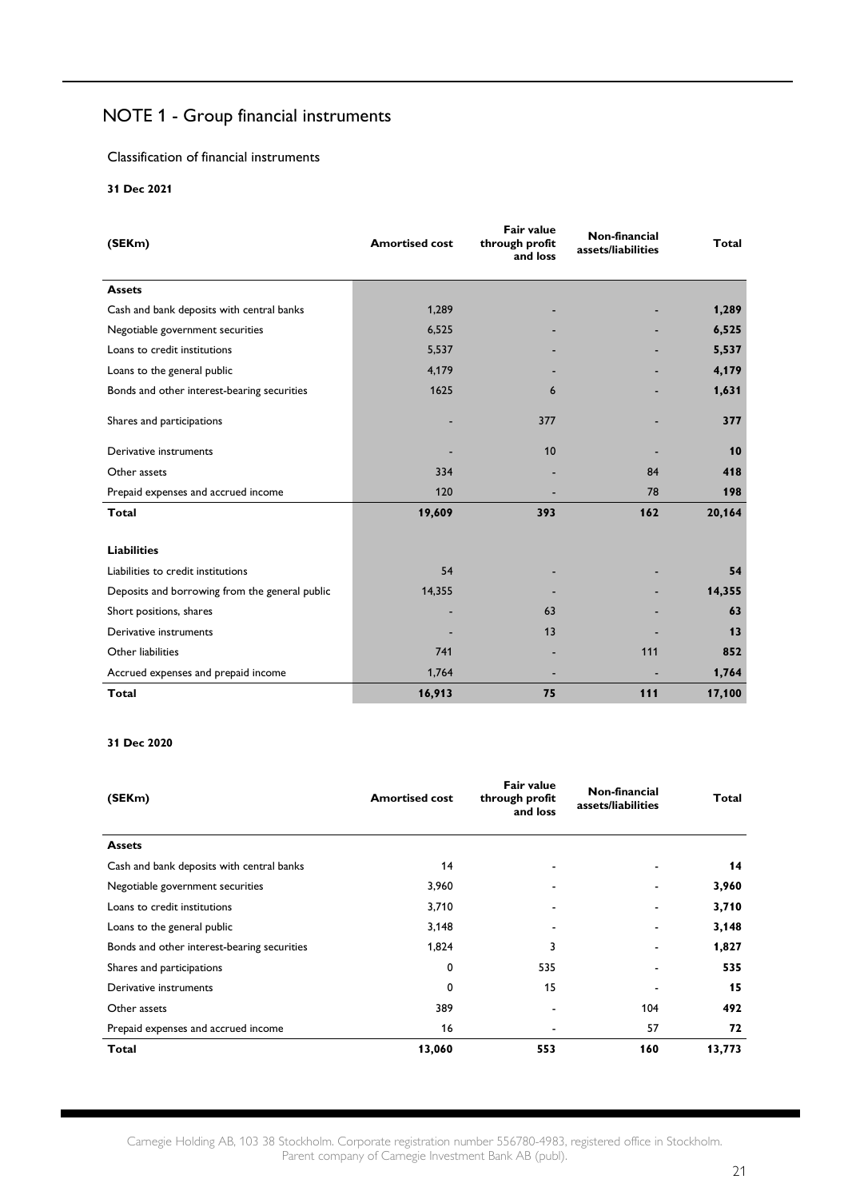### NOTE 1 - Group financial instruments

Classification of financial instruments

**31 Dec 2021**

| (SEKm)                                         | <b>Amortised cost</b> | Fair value<br>through profit<br>and loss | Non-financial<br>assets/liabilities | Total  |
|------------------------------------------------|-----------------------|------------------------------------------|-------------------------------------|--------|
| <b>Assets</b>                                  |                       |                                          |                                     |        |
| Cash and bank deposits with central banks      | 1,289                 |                                          |                                     | 1,289  |
| Negotiable government securities               | 6,525                 |                                          |                                     | 6,525  |
| Loans to credit institutions                   | 5,537                 |                                          |                                     | 5,537  |
| Loans to the general public                    | 4,179                 |                                          |                                     | 4,179  |
| Bonds and other interest-bearing securities    | 1625                  | 6                                        |                                     | 1,631  |
| Shares and participations                      |                       | 377                                      |                                     | 377    |
| Derivative instruments                         |                       | 10                                       |                                     | 10     |
| Other assets                                   | 334                   |                                          | 84                                  | 418    |
| Prepaid expenses and accrued income            | 120                   |                                          | 78                                  | 198    |
| <b>Total</b>                                   | 19,609                | 393                                      | 162                                 | 20,164 |
| <b>Liabilities</b>                             |                       |                                          |                                     |        |
| Liabilities to credit institutions             | 54                    |                                          |                                     | 54     |
| Deposits and borrowing from the general public | 14,355                |                                          |                                     | 14,355 |
| Short positions, shares                        |                       | 63                                       |                                     | 63     |
| Derivative instruments                         |                       | 13                                       |                                     | 13     |
| Other liabilities                              | 741                   |                                          | 111                                 | 852    |
| Accrued expenses and prepaid income            | 1,764                 |                                          |                                     | 1,764  |
| <b>Total</b>                                   | 16,913                | 75                                       | 111                                 | 17,100 |

#### **31 Dec 2020**

| (SEKm)                                      | <b>Amortised cost</b> | Fair value<br>through profit<br>and loss | Non-financial<br>assets/liabilities | Total  |
|---------------------------------------------|-----------------------|------------------------------------------|-------------------------------------|--------|
| <b>Assets</b>                               |                       |                                          |                                     |        |
| Cash and bank deposits with central banks   | 14                    |                                          |                                     | 14     |
| Negotiable government securities            | 3,960                 |                                          |                                     | 3,960  |
| Loans to credit institutions                | 3,710                 |                                          |                                     | 3,710  |
| Loans to the general public                 | 3,148                 |                                          |                                     | 3,148  |
| Bonds and other interest-bearing securities | 1,824                 | 3                                        |                                     | 1,827  |
| Shares and participations                   | 0                     | 535                                      |                                     | 535    |
| Derivative instruments                      | 0                     | 15                                       |                                     | 15     |
| Other assets                                | 389                   |                                          | 104                                 | 492    |
| Prepaid expenses and accrued income         | 16                    |                                          | 57                                  | 72     |
| <b>Total</b>                                | 13,060                | 553                                      | 160                                 | 13,773 |

Carnegie Holding AB, 103 38 Stockholm. Corporate registration number 556780-4983, registered office in Stockholm. Parent company of Carnegie Investment Bank AB (publ).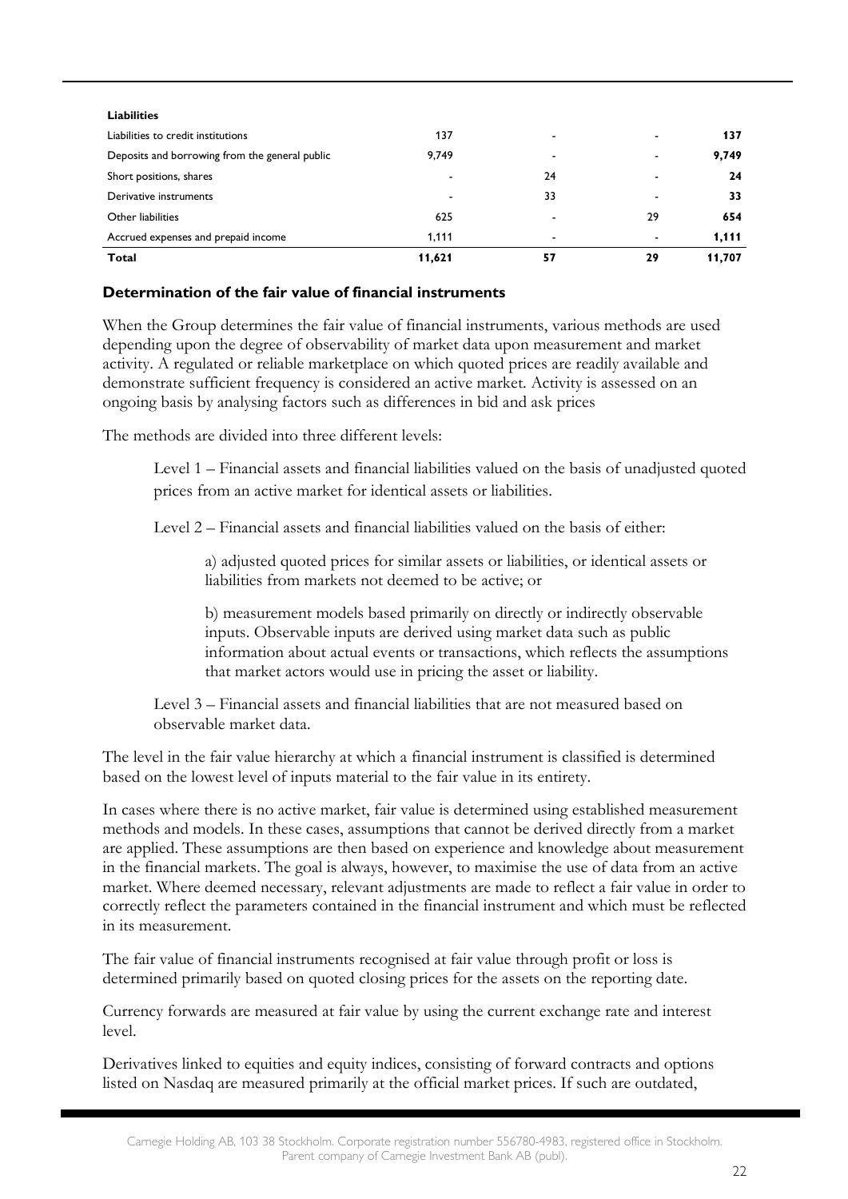| <b>Total</b>                                   | 11,621                   | 57                       | 29 | 11.707 |
|------------------------------------------------|--------------------------|--------------------------|----|--------|
| Accrued expenses and prepaid income            | 1.111                    | $\overline{\phantom{0}}$ | -  | 1.111  |
| Other liabilities                              | 625                      | $\overline{\phantom{0}}$ | 29 | 654    |
| Derivative instruments                         | $\overline{\phantom{a}}$ | 33                       |    | 33     |
| Short positions, shares                        |                          | 24                       |    | 24     |
| Deposits and borrowing from the general public | 9,749                    | ٠                        |    | 9,749  |
| Liabilities to credit institutions             | 137                      | $\overline{\phantom{a}}$ |    | 137    |
| <b>Liabilities</b>                             |                          |                          |    |        |
|                                                |                          |                          |    |        |

### **Determination of the fair value of financial instruments**

When the Group determines the fair value of financial instruments, various methods are used depending upon the degree of observability of market data upon measurement and market activity. A regulated or reliable marketplace on which quoted prices are readily available and demonstrate sufficient frequency is considered an active market. Activity is assessed on an ongoing basis by analysing factors such as differences in bid and ask prices

The methods are divided into three different levels:

Level 1 – Financial assets and financial liabilities valued on the basis of unadjusted quoted prices from an active market for identical assets or liabilities.

Level 2 – Financial assets and financial liabilities valued on the basis of either:

a) adjusted quoted prices for similar assets or liabilities, or identical assets or liabilities from markets not deemed to be active; or

b) measurement models based primarily on directly or indirectly observable inputs. Observable inputs are derived using market data such as public information about actual events or transactions, which reflects the assumptions that market actors would use in pricing the asset or liability.

Level 3 – Financial assets and financial liabilities that are not measured based on observable market data.

The level in the fair value hierarchy at which a financial instrument is classified is determined based on the lowest level of inputs material to the fair value in its entirety.

In cases where there is no active market, fair value is determined using established measurement methods and models. In these cases, assumptions that cannot be derived directly from a market are applied. These assumptions are then based on experience and knowledge about measurement in the financial markets. The goal is always, however, to maximise the use of data from an active market. Where deemed necessary, relevant adjustments are made to reflect a fair value in order to correctly reflect the parameters contained in the financial instrument and which must be reflected in its measurement.

The fair value of financial instruments recognised at fair value through profit or loss is determined primarily based on quoted closing prices for the assets on the reporting date.

Currency forwards are measured at fair value by using the current exchange rate and interest level.

Derivatives linked to equities and equity indices, consisting of forward contracts and options listed on Nasdaq are measured primarily at the official market prices. If such are outdated,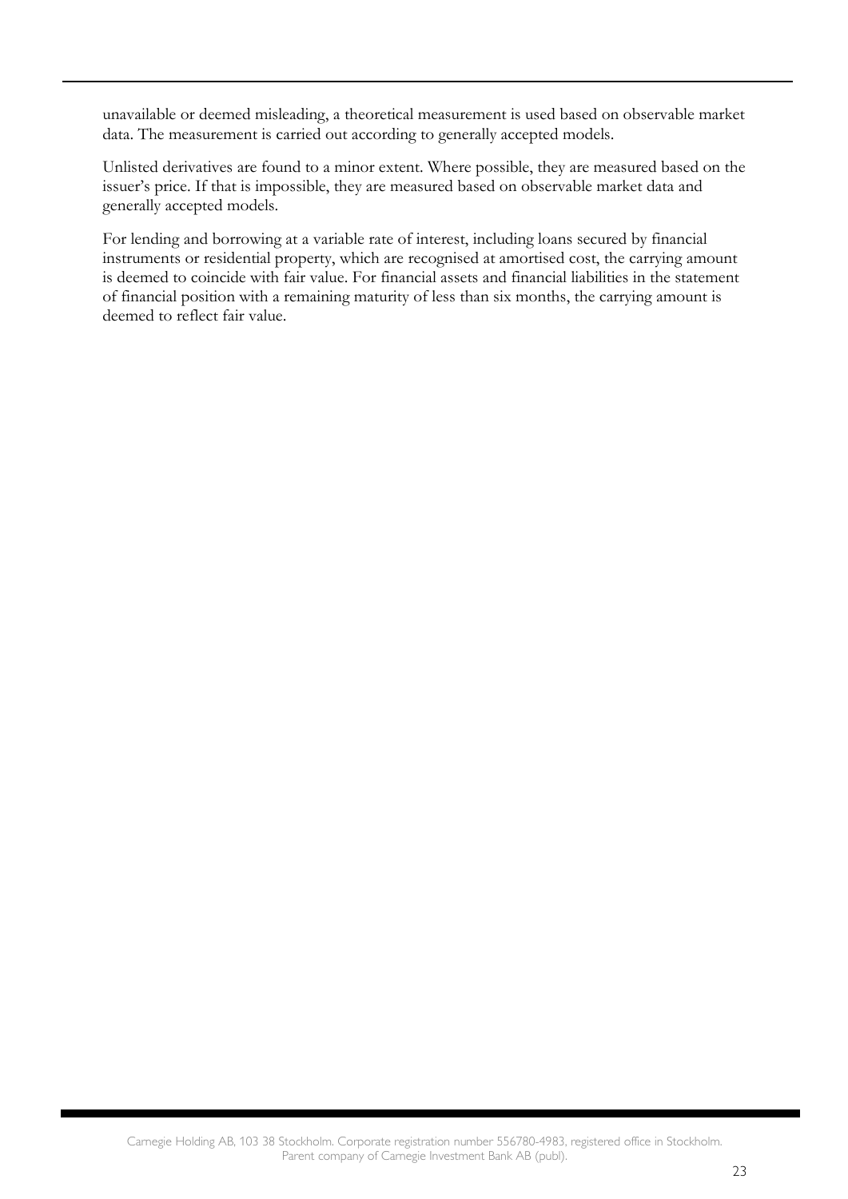unavailable or deemed misleading, a theoretical measurement is used based on observable market data. The measurement is carried out according to generally accepted models.

Unlisted derivatives are found to a minor extent. Where possible, they are measured based on the issuer's price. If that is impossible, they are measured based on observable market data and generally accepted models.

For lending and borrowing at a variable rate of interest, including loans secured by financial instruments or residential property, which are recognised at amortised cost, the carrying amount is deemed to coincide with fair value. For financial assets and financial liabilities in the statement of financial position with a remaining maturity of less than six months, the carrying amount is deemed to reflect fair value.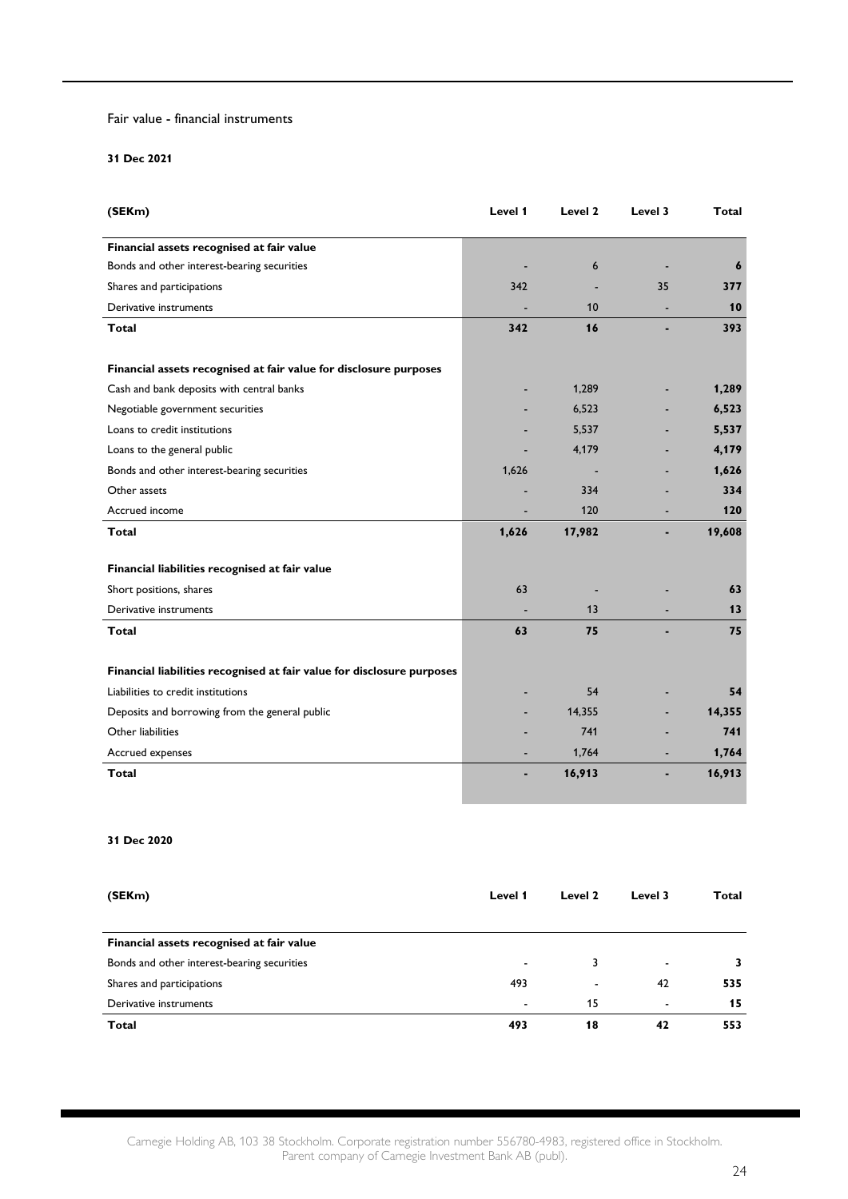#### Fair value - financial instruments

#### **31 Dec 2021**

| (SEKm)                                                                 | Level 1 | Level 2 | Level 3 | <b>Total</b> |
|------------------------------------------------------------------------|---------|---------|---------|--------------|
| Financial assets recognised at fair value                              |         |         |         |              |
| Bonds and other interest-bearing securities                            |         | 6       |         | 6            |
| Shares and participations                                              | 342     |         | 35      | 377          |
| Derivative instruments                                                 |         | 10      |         | 10           |
| Total                                                                  | 342     | 16      |         | 393          |
| Financial assets recognised at fair value for disclosure purposes      |         |         |         |              |
| Cash and bank deposits with central banks                              |         | 1,289   |         | 1,289        |
| Negotiable government securities                                       |         | 6,523   |         | 6,523        |
| Loans to credit institutions                                           |         | 5,537   |         | 5,537        |
| Loans to the general public                                            |         | 4,179   |         | 4,179        |
| Bonds and other interest-bearing securities                            | 1,626   |         |         | 1,626        |
| Other assets                                                           |         | 334     |         | 334          |
| Accrued income                                                         |         | 120     |         | 120          |
| Total                                                                  | 1,626   | 17,982  |         | 19,608       |
| Financial liabilities recognised at fair value                         |         |         |         |              |
| Short positions, shares                                                | 63      |         |         | 63           |
| Derivative instruments                                                 |         | 13      |         | 13           |
| Total                                                                  | 63      | 75      |         | 75           |
| Financial liabilities recognised at fair value for disclosure purposes |         |         |         |              |
| Liabilities to credit institutions                                     |         | 54      |         | 54           |
| Deposits and borrowing from the general public                         |         | 14,355  |         | 14,355       |
| Other liabilities                                                      |         | 741     |         | 741          |
| Accrued expenses                                                       |         | 1,764   |         | 1,764        |
| Total                                                                  |         | 16,913  |         | 16,913       |

#### **31 Dec 2020**

| Level 1                  | Level 2                  | Level 3                  | Total |
|--------------------------|--------------------------|--------------------------|-------|
|                          |                          |                          |       |
|                          |                          |                          |       |
| $\overline{\phantom{a}}$ | 3                        | $\overline{\phantom{a}}$ | 3     |
| 493                      | $\overline{\phantom{a}}$ | 42                       | 535   |
| $\overline{\phantom{a}}$ | 15                       | $\overline{\phantom{a}}$ | 15    |
| 493                      | 18                       | 42                       | 553   |
|                          |                          |                          |       |

Carnegie Holding AB, 103 38 Stockholm. Corporate registration number 556780-4983, registered office in Stockholm. Parent company of Carnegie Investment Bank AB (publ).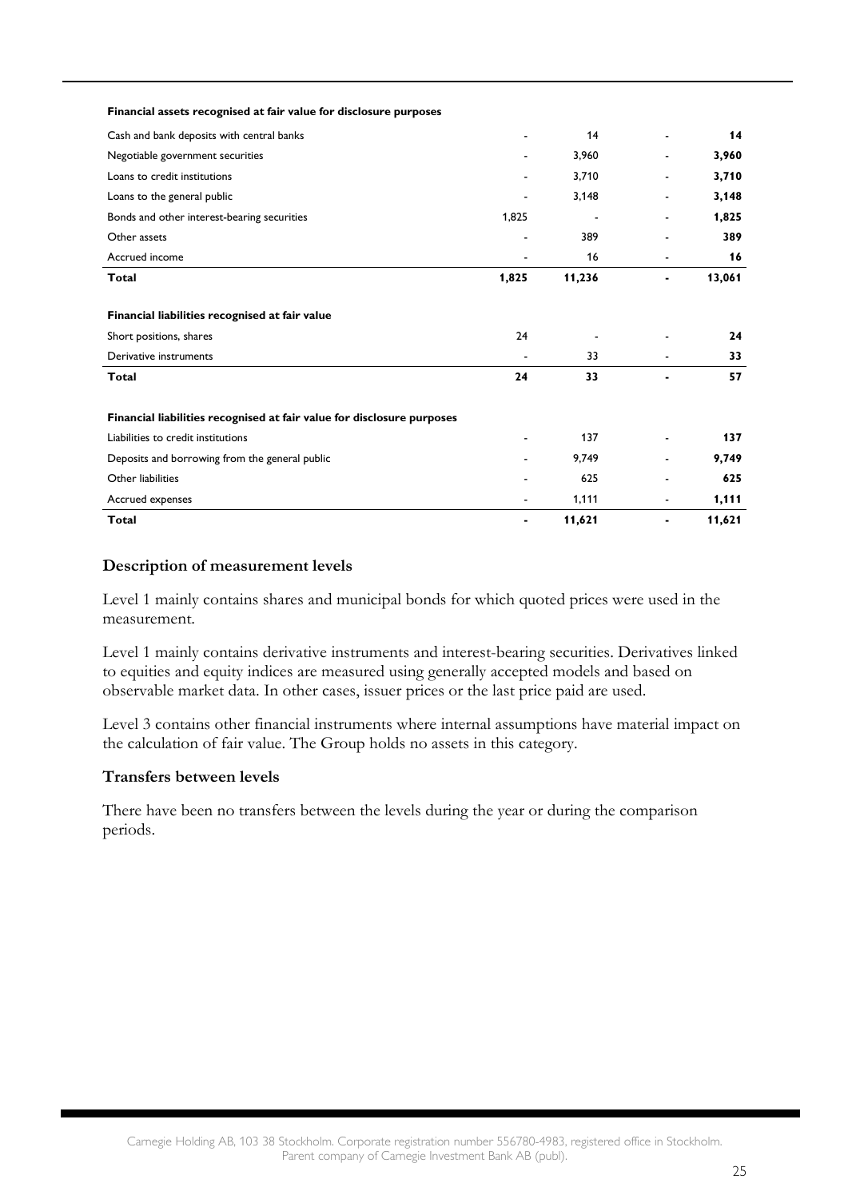| Financial assets recognised at fair value for disclosure purposes      |       |        |                          |        |
|------------------------------------------------------------------------|-------|--------|--------------------------|--------|
| Cash and bank deposits with central banks                              |       | 14     |                          | 14     |
| Negotiable government securities                                       |       | 3,960  |                          | 3,960  |
| Loans to credit institutions                                           |       | 3,710  |                          | 3,710  |
| Loans to the general public                                            |       | 3,148  |                          | 3,148  |
| Bonds and other interest-bearing securities                            | 1,825 |        | $\overline{\phantom{0}}$ | 1,825  |
| Other assets                                                           |       | 389    |                          | 389    |
| Accrued income                                                         |       | 16     | $\blacksquare$           | 16     |
| <b>Total</b>                                                           | 1,825 | 11,236 | -                        | 13,061 |
| Financial liabilities recognised at fair value                         |       |        |                          |        |
| Short positions, shares                                                | 24    |        |                          | 24     |
| Derivative instruments                                                 |       | 33     |                          | 33     |
| <b>Total</b>                                                           | 24    | 33     |                          | 57     |
| Financial liabilities recognised at fair value for disclosure purposes |       |        |                          |        |
| Liabilities to credit institutions                                     |       | 137    | $\overline{\phantom{0}}$ | 137    |
| Deposits and borrowing from the general public                         |       | 9,749  |                          | 9,749  |
| Other liabilities                                                      |       | 625    |                          | 625    |
| Accrued expenses                                                       |       | 1,111  | -                        | 1,111  |
| <b>Total</b>                                                           |       | 11,621 | $\blacksquare$           | 11,621 |

### **Description of measurement levels**

Level 1 mainly contains shares and municipal bonds for which quoted prices were used in the measurement.

Level 1 mainly contains derivative instruments and interest-bearing securities. Derivatives linked to equities and equity indices are measured using generally accepted models and based on observable market data. In other cases, issuer prices or the last price paid are used.

Level 3 contains other financial instruments where internal assumptions have material impact on the calculation of fair value. The Group holds no assets in this category.

#### **Transfers between levels**

There have been no transfers between the levels during the year or during the comparison periods.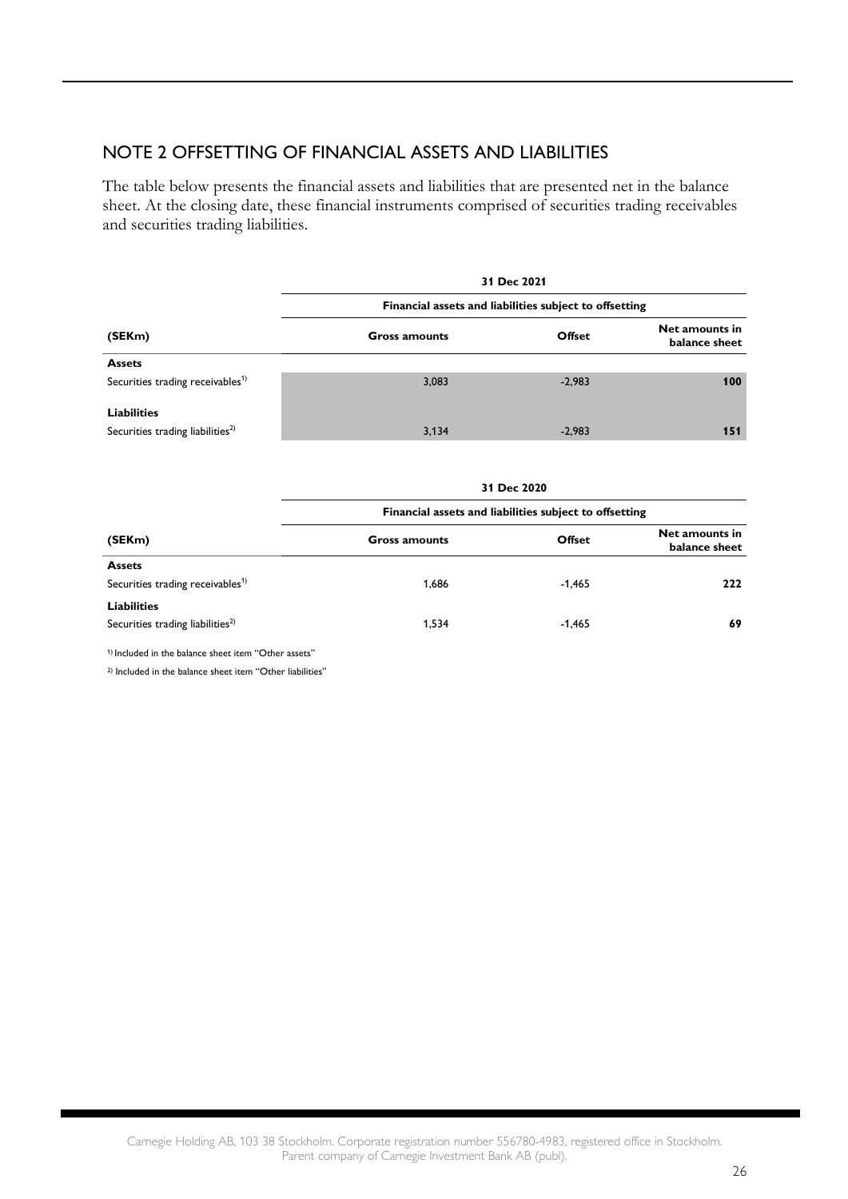### NOTE 2 OFFSETTING OF FINANCIAL ASSETS AND LIABILITIES

The table below presents the financial assets and liabilities that are presented net in the balance sheet. At the closing date, these financial instruments comprised of securities trading receivables and securities trading liabilities.

|                                              |                                                        | 31 Dec 2021 |                                 |  |
|----------------------------------------------|--------------------------------------------------------|-------------|---------------------------------|--|
|                                              | Financial assets and liabilities subject to offsetting |             |                                 |  |
| (SEKm)                                       | <b>Gross amounts</b>                                   | Offset      | Net amounts in<br>balance sheet |  |
| <b>Assets</b>                                |                                                        |             |                                 |  |
| Securities trading receivables <sup>1)</sup> | 3,083                                                  | $-2,983$    | 100                             |  |
| <b>Liabilities</b>                           |                                                        |             |                                 |  |
| Securities trading liabilities <sup>2)</sup> | 3,134                                                  | $-2,983$    | 151                             |  |

|                                              |                                                        | 31 DEC ZUZU |                                 |
|----------------------------------------------|--------------------------------------------------------|-------------|---------------------------------|
| (SEKm)                                       | Financial assets and liabilities subject to offsetting |             |                                 |
|                                              | <b>Gross amounts</b>                                   | Offset      | Net amounts in<br>balance sheet |
| <b>Assets</b>                                |                                                        |             |                                 |
| Securities trading receivables <sup>1)</sup> | 1.686                                                  | $-1.465$    | 222                             |
| <b>Liabilities</b>                           |                                                        |             |                                 |
| Securities trading liabilities <sup>2)</sup> | 1.534                                                  | $-1,465$    | 69                              |
|                                              |                                                        |             |                                 |

**31 Dec 2020**

1) Included in the balance sheet item "Other assets"

2) Included in the balance sheet item "Other liabilities"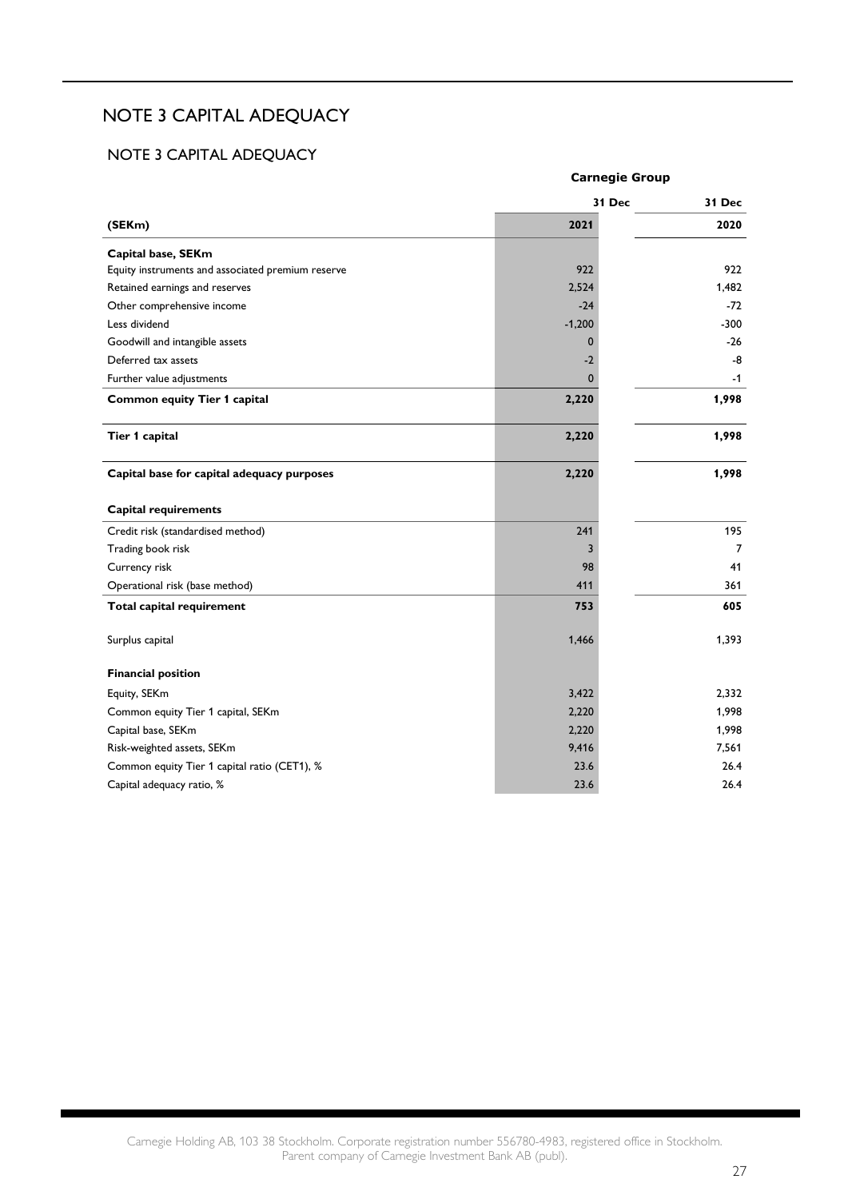## NOTE 3 CAPITAL ADEQUACY

### NOTE 3 CAPITAL ADEQUACY

|                                                   | <b>Carnegie Group</b> |        |  |  |
|---------------------------------------------------|-----------------------|--------|--|--|
|                                                   | 31 Dec                | 31 Dec |  |  |
| (SEKm)                                            | 2021                  | 2020   |  |  |
| Capital base, SEKm                                |                       |        |  |  |
| Equity instruments and associated premium reserve | 922                   | 922    |  |  |
| Retained earnings and reserves                    | 2,524                 | 1,482  |  |  |
| Other comprehensive income                        | $-24$                 | $-72$  |  |  |
| Less dividend                                     | $-1,200$              | $-300$ |  |  |
| Goodwill and intangible assets                    | $\mathbf{0}$          | $-26$  |  |  |
| Deferred tax assets                               | $-2$                  | -8     |  |  |
| Further value adjustments                         | $\mathbf{0}$          | $-1$   |  |  |
| <b>Common equity Tier 1 capital</b>               | 2,220                 | 1,998  |  |  |
| Tier 1 capital                                    | 2,220                 | 1,998  |  |  |
| Capital base for capital adequacy purposes        | 2,220                 | 1,998  |  |  |
| <b>Capital requirements</b>                       |                       |        |  |  |
| Credit risk (standardised method)                 | 241                   | 195    |  |  |
| Trading book risk                                 | 3                     | 7      |  |  |
| Currency risk                                     | 98                    | 41     |  |  |
| Operational risk (base method)                    | 411                   | 361    |  |  |
| Total capital requirement                         | 753                   | 605    |  |  |
| Surplus capital                                   | 1,466                 | 1,393  |  |  |
| <b>Financial position</b>                         |                       |        |  |  |
| Equity, SEKm                                      | 3,422                 | 2,332  |  |  |
| Common equity Tier 1 capital, SEKm                | 2,220                 | 1,998  |  |  |
| Capital base, SEKm                                | 2,220                 | 1,998  |  |  |
| Risk-weighted assets, SEKm                        | 9,416                 | 7,561  |  |  |
| Common equity Tier 1 capital ratio (CET1), %      | 23.6                  | 26.4   |  |  |
| Capital adequacy ratio, %                         | 23.6                  | 26.4   |  |  |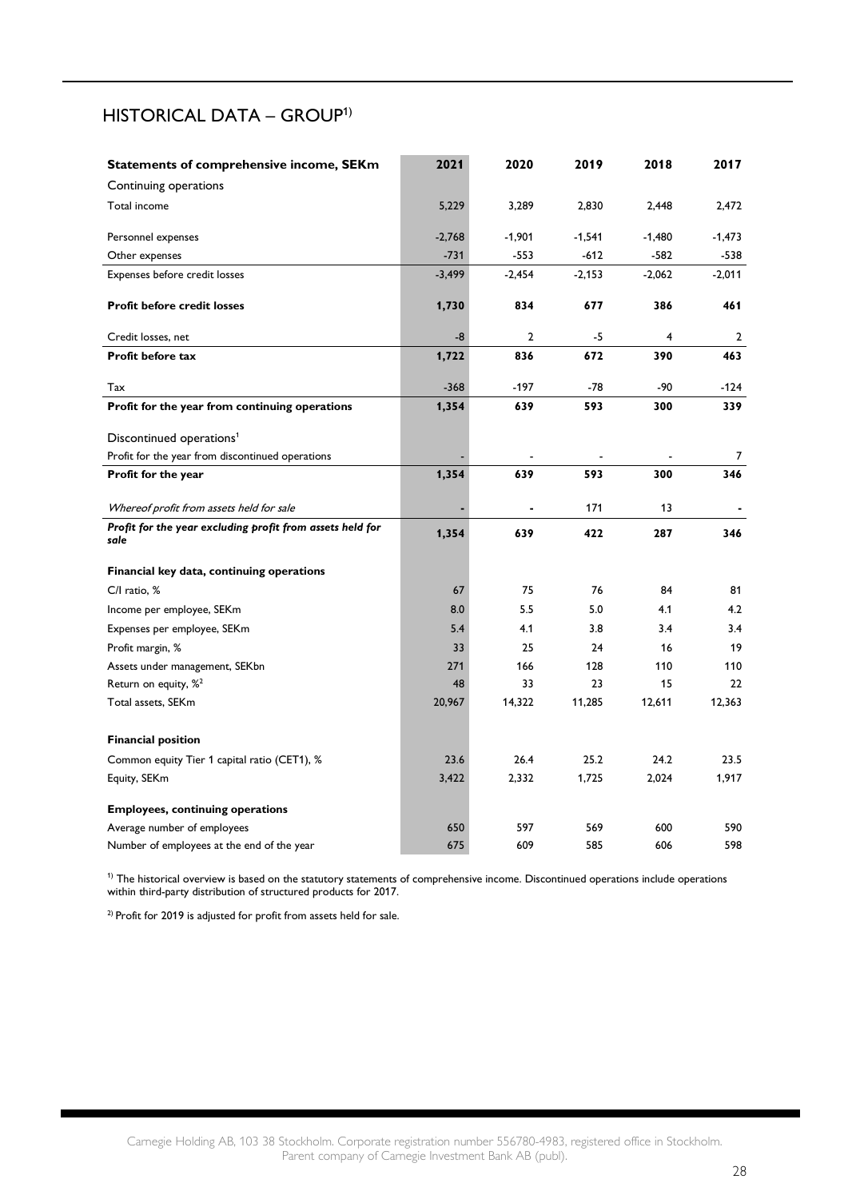## HISTORICAL DATA – GROUP1)

| Statements of comprehensive income, SEKm                  | 2021     | 2020           | 2019     | 2018     | 2017     |
|-----------------------------------------------------------|----------|----------------|----------|----------|----------|
| Continuing operations                                     |          |                |          |          |          |
| Total income                                              | 5,229    | 3,289          | 2,830    | 2,448    | 2,472    |
| Personnel expenses                                        | $-2,768$ | $-1,901$       | $-1,541$ | $-1,480$ | $-1,473$ |
| Other expenses                                            | $-731$   | $-553$         | $-612$   | $-582$   | $-538$   |
| Expenses before credit losses                             | $-3,499$ | $-2,454$       | $-2,153$ | $-2,062$ | $-2,011$ |
|                                                           |          |                |          |          |          |
| Profit before credit losses                               | 1,730    | 834            | 677      | 386      | 461      |
| Credit losses, net                                        | -8       | $\overline{2}$ | $-5$     | 4        | 2        |
| Profit before tax                                         | 1,722    | 836            | 672      | 390      | 463      |
| Tax                                                       | $-368$   | $-197$         | $-78$    | $-90$    | $-124$   |
| Profit for the year from continuing operations            | 1,354    | 639            | 593      | 300      | 339      |
| Discontinued operations <sup>1</sup>                      |          |                |          |          |          |
| Profit for the year from discontinued operations          |          |                |          |          | 7        |
| Profit for the year                                       | 1,354    | 639            | 593      | 300      | 346      |
| Whereof profit from assets held for sale                  |          |                | 171      | 13       |          |
| Profit for the year excluding profit from assets held for | 1,354    | 639            | 422      | 287      | 346      |
| sale                                                      |          |                |          |          |          |
| Financial key data, continuing operations                 |          |                |          |          |          |
| C/I ratio, %                                              | 67       | 75             | 76       | 84       | 81       |
| Income per employee, SEKm                                 | 8.0      | 5.5            | 5.0      | 4.1      | 4.2      |
| Expenses per employee, SEKm                               | 5.4      | 4.1            | 3.8      | 3.4      | 3.4      |
| Profit margin, %                                          | 33       | 25             | 24       | 16       | 19       |
| Assets under management, SEKbn                            | 271      | 166            | 128      | 110      | 110      |
| Return on equity, % <sup>2</sup>                          | 48       | 33             | 23       | 15       | 22       |
| Total assets, SEKm                                        | 20,967   | 14,322         | 11,285   | 12,611   | 12,363   |
| <b>Financial position</b>                                 |          |                |          |          |          |
| Common equity Tier 1 capital ratio (CET1), %              | 23.6     | 26.4           | 25.2     | 24.2     | 23.5     |
| Equity, SEKm                                              | 3,422    | 2,332          | 1,725    | 2,024    | 1,917    |
| <b>Employees, continuing operations</b>                   |          |                |          |          |          |
| Average number of employees                               | 650      | 597            | 569      | 600      | 590      |
| Number of employees at the end of the year                | 675      | 609            | 585      | 606      | 598      |

 $<sup>1</sup>$  The historical overview is based on the statutory statements of comprehensive income. Discontinued operations include operations</sup> within third-party distribution of structured products for 2017.

<sup>2)</sup> Profit for 2019 is adjusted for profit from assets held for sale.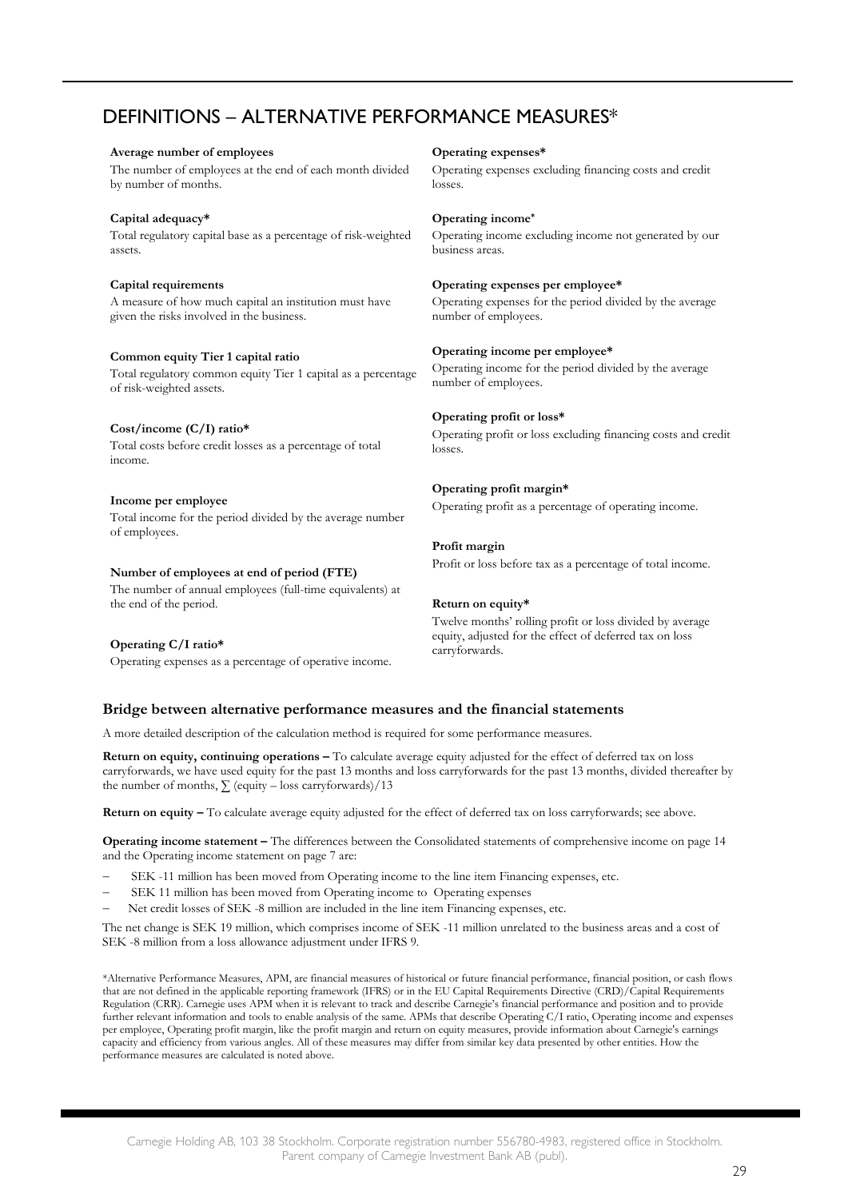## DEFINITIONS – ALTERNATIVE PERFORMANCE MEASURES\*

#### **Average number of employees**

The number of employees at the end of each month divided by number of months.

#### **Capital adequacy\***

Total regulatory capital base as a percentage of risk-weighted assets.

#### **Capital requirements**

A measure of how much capital an institution must have given the risks involved in the business.

#### **Common equity Tier 1 capital ratio**

Total regulatory common equity Tier 1 capital as a percentage of risk-weighted assets.

#### **Cost/income (C/I) ratio\***

Total costs before credit losses as a percentage of total income.

#### **Income per employee**

Total income for the period divided by the average number of employees.

#### **Number of employees at end of period (FTE)**

The number of annual employees (full-time equivalents) at the end of the period.

#### **Operating C/I ratio\***

Operating expenses as a percentage of operative income.

#### **Operating expenses\***

Operating expenses excluding financing costs and credit losses.

#### **Operating income\***

Operating income excluding income not generated by our business areas.

#### **Operating expenses per employee\***

Operating expenses for the period divided by the average number of employees.

#### **Operating income per employee\***

Operating income for the period divided by the average number of employees.

#### **Operating profit or loss\***

Operating profit or loss excluding financing costs and credit losses.

#### **Operating profit margin\***

Operating profit as a percentage of operating income.

#### **Profit margin**

Profit or loss before tax as a percentage of total income.

#### **Return on equity\***

Twelve months' rolling profit or loss divided by average equity, adjusted for the effect of deferred tax on loss carryforwards.

#### **Bridge between alternative performance measures and the financial statements**

A more detailed description of the calculation method is required for some performance measures.

**Return on equity, continuing operations –** To calculate average equity adjusted for the effect of deferred tax on loss carryforwards, we have used equity for the past 13 months and loss carryforwards for the past 13 months, divided thereafter by the number of months,  $\sum$  (equity – loss carryforwards)/13

**Return on equity –** To calculate average equity adjusted for the effect of deferred tax on loss carryforwards; see above.

**Operating income statement –** The differences between the Consolidated statements of comprehensive income on page 14 and the Operating income statement on page 7 are:

- SEK -11 million has been moved from Operating income to the line item Financing expenses, etc.
- SEK 11 million has been moved from Operating income to Operating expenses
- − Net credit losses of SEK -8 million are included in the line item Financing expenses, etc.

The net change is SEK 19 million, which comprises income of SEK -11 million unrelated to the business areas and a cost of SEK -8 million from a loss allowance adjustment under IFRS 9.

\*Alternative Performance Measures, APM, are financial measures of historical or future financial performance, financial position, or cash flows that are not defined in the applicable reporting framework (IFRS) or in the EU Capital Requirements Directive (CRD)/Capital Requirements Regulation (CRR). Carnegie uses APM when it is relevant to track and describe Carnegie's financial performance and position and to provide further relevant information and tools to enable analysis of the same. APMs that describe Operating C/I ratio, Operating income and expenses per employee, Operating profit margin, like the profit margin and return on equity measures, provide information about Carnegie's earnings capacity and efficiency from various angles. All of these measures may differ from similar key data presented by other entities. How the performance measures are calculated is noted above.